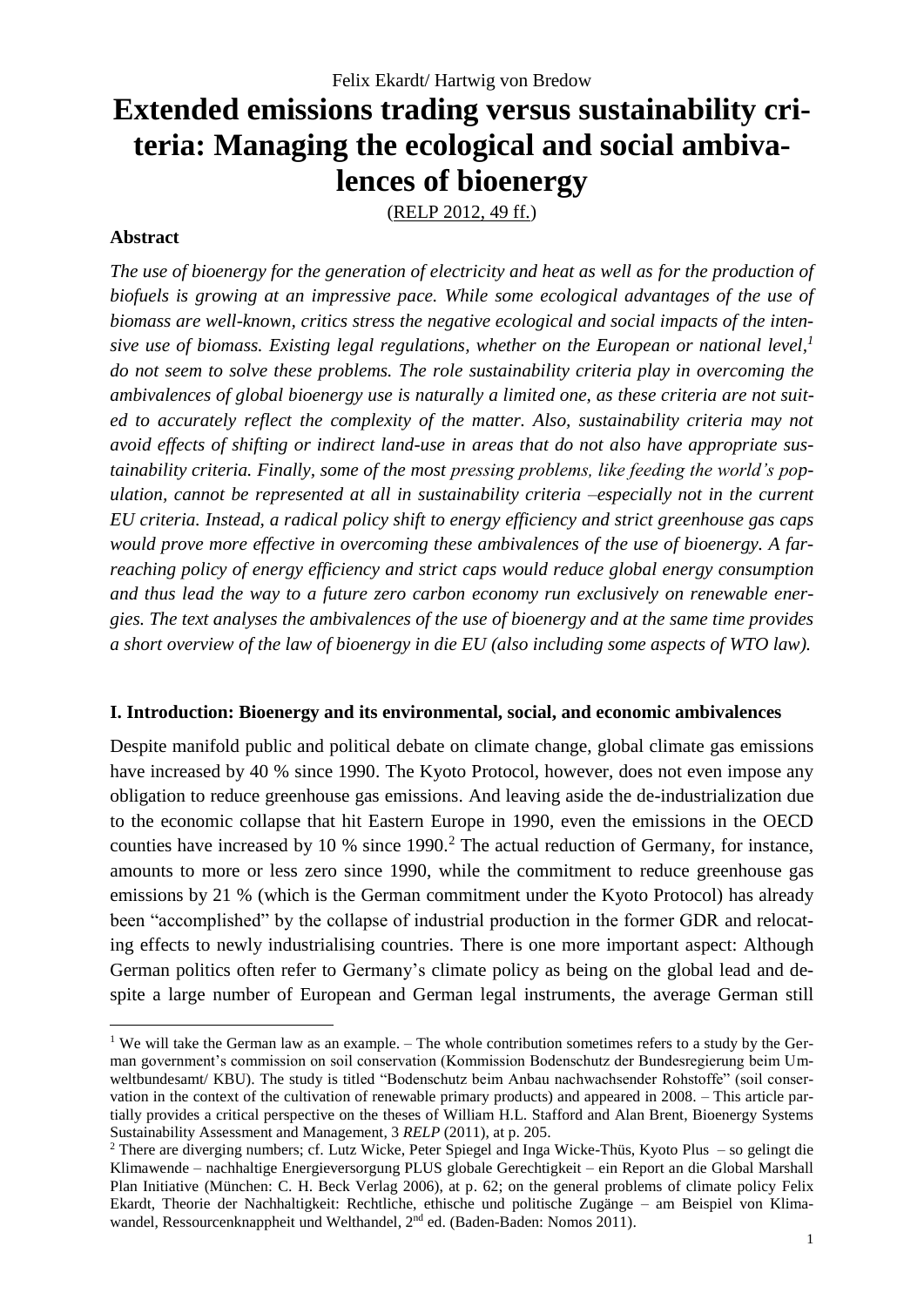# **Extended emissions trading versus sustainability criteria: Managing the ecological and social ambivalences of bioenergy**

(RELP 2012, 49 ff.)

## **Abstract**

 $\overline{a}$ 

*The use of bioenergy for the generation of electricity and heat as well as for the production of biofuels is growing at an impressive pace. While some ecological advantages of the use of biomass are well-known, critics stress the negative ecological and social impacts of the intensive use of biomass. Existing legal regulations, whether on the European or national level, 1 do not seem to solve these problems. The role sustainability criteria play in overcoming the ambivalences of global bioenergy use is naturally a limited one, as these criteria are not suited to accurately reflect the complexity of the matter. Also, sustainability criteria may not avoid effects of shifting or indirect land-use in areas that do not also have appropriate sustainability criteria. Finally, some of the most pressing problems, like feeding the world's population, cannot be represented at all in sustainability criteria –especially not in the current EU criteria. Instead, a radical policy shift to energy efficiency and strict greenhouse gas caps would prove more effective in overcoming these ambivalences of the use of bioenergy. A farreaching policy of energy efficiency and strict caps would reduce global energy consumption and thus lead the way to a future zero carbon economy run exclusively on renewable energies. The text analyses the ambivalences of the use of bioenergy and at the same time provides a short overview of the law of bioenergy in die EU (also including some aspects of WTO law).*

## **I. Introduction: Bioenergy and its environmental, social, and economic ambivalences**

Despite manifold public and political debate on climate change, global climate gas emissions have increased by 40 % since 1990. The Kyoto Protocol, however, does not even impose any obligation to reduce greenhouse gas emissions. And leaving aside the de-industrialization due to the economic collapse that hit Eastern Europe in 1990, even the emissions in the OECD counties have increased by 10 % since 1990.<sup>2</sup> The actual reduction of Germany, for instance, amounts to more or less zero since 1990, while the commitment to reduce greenhouse gas emissions by 21 % (which is the German commitment under the Kyoto Protocol) has already been "accomplished" by the collapse of industrial production in the former GDR and relocating effects to newly industrialising countries. There is one more important aspect: Although German politics often refer to Germany's climate policy as being on the global lead and despite a large number of European and German legal instruments, the average German still

<sup>&</sup>lt;sup>1</sup> We will take the German law as an example. – The whole contribution sometimes refers to a study by the German government's commission on soil conservation (Kommission Bodenschutz der Bundesregierung beim Umweltbundesamt/ KBU). The study is titled "Bodenschutz beim Anbau nachwachsender Rohstoffe" (soil conservation in the context of the cultivation of renewable primary products) and appeared in 2008. – This article partially provides a critical perspective on the theses of William H.L. Stafford and Alan Brent, Bioenergy Systems Sustainability Assessment and Management, 3 *RELP* (2011), at p. 205.

<sup>2</sup> There are diverging numbers; cf. Lutz Wicke, Peter Spiegel and Inga Wicke-Thüs, Kyoto Plus – so gelingt die Klimawende – nachhaltige Energieversorgung PLUS globale Gerechtigkeit – ein Report an die Global Marshall Plan Initiative (München: C. H. Beck Verlag 2006), at p. 62; on the general problems of climate policy Felix Ekardt, Theorie der Nachhaltigkeit: Rechtliche, ethische und politische Zugänge – am Beispiel von Klimawandel, Ressourcenknappheit und Welthandel, 2<sup>nd</sup> ed. (Baden-Baden: Nomos 2011).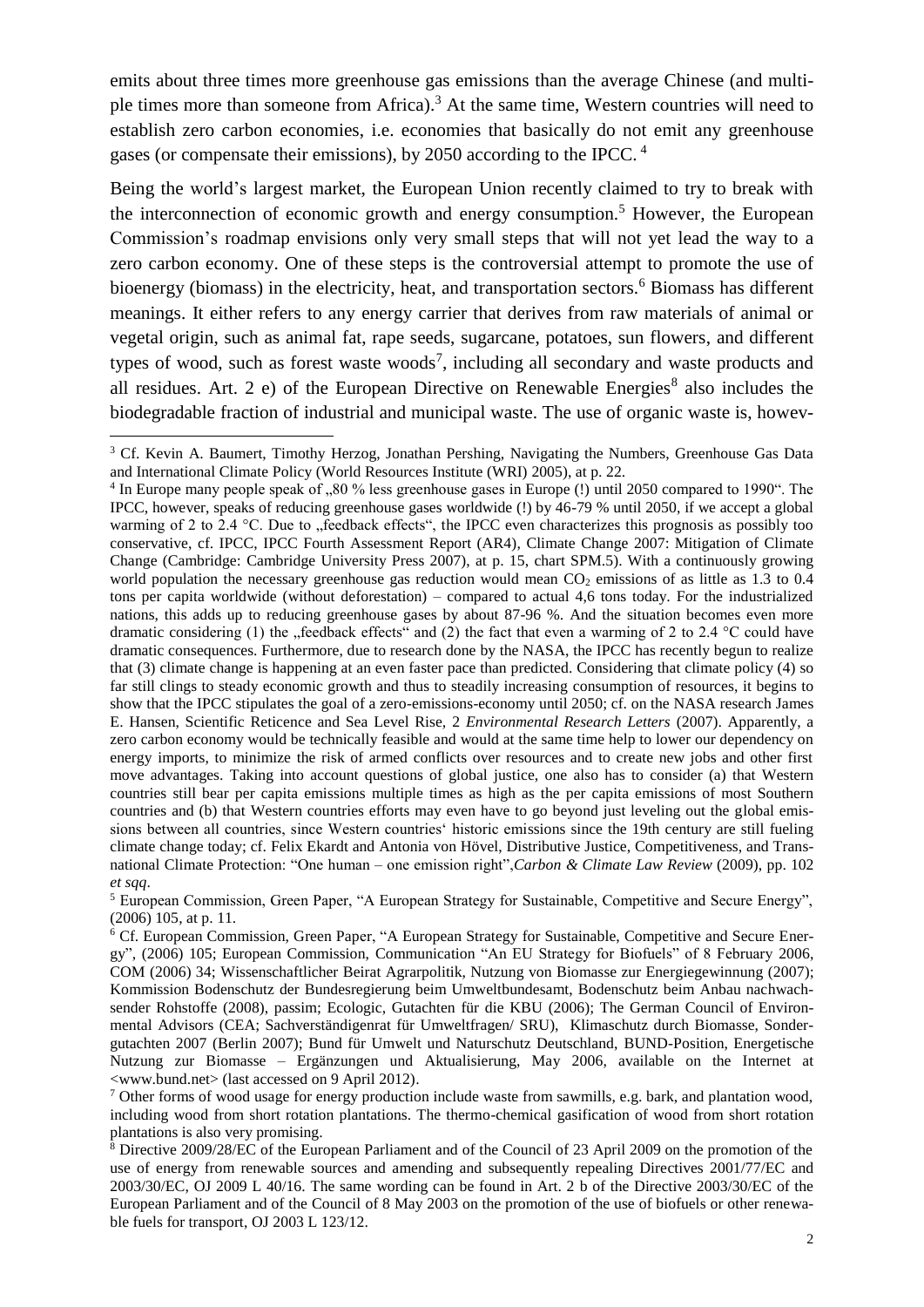emits about three times more greenhouse gas emissions than the average Chinese (and multiple times more than someone from Africa).<sup>3</sup> At the same time, Western countries will need to establish zero carbon economies, i.e. economies that basically do not emit any greenhouse gases (or compensate their emissions), by 2050 according to the IPCC. <sup>4</sup>

Being the world's largest market, the European Union recently claimed to try to break with the interconnection of economic growth and energy consumption.<sup>5</sup> However, the European Commission's roadmap envisions only very small steps that will not yet lead the way to a zero carbon economy. One of these steps is the controversial attempt to promote the use of bioenergy (biomass) in the electricity, heat, and transportation sectors.<sup>6</sup> Biomass has different meanings. It either refers to any energy carrier that derives from raw materials of animal or vegetal origin, such as animal fat, rape seeds, sugarcane, potatoes, sun flowers, and different types of wood, such as forest waste woods<sup>7</sup>, including all secondary and waste products and all residues. Art. 2 e) of the European Directive on Renewable Energies<sup>8</sup> also includes the biodegradable fraction of industrial and municipal waste. The use of organic waste is, howev-

 $\overline{a}$ 

<sup>5</sup> European Commission, Green Paper, "A European Strategy for Sustainable, Competitive and Secure Energy", (2006) 105, at p. 11.

<sup>&</sup>lt;sup>3</sup> Cf. Kevin A. Baumert, Timothy Herzog, Jonathan Pershing, Navigating the Numbers, Greenhouse Gas Data and International Climate Policy (World Resources Institute (WRI) 2005), at p. 22.

<sup>&</sup>lt;sup>4</sup> In Europe many people speak of ,,80 % less greenhouse gases in Europe (!) until 2050 compared to 1990". The IPCC, however, speaks of reducing greenhouse gases worldwide (!) by 46-79 % until 2050, if we accept a global warming of 2 to  $2.4 \text{ °C}$ . Due to "feedback effects", the IPCC even characterizes this prognosis as possibly too conservative, cf. IPCC, IPCC Fourth Assessment Report (AR4), Climate Change 2007: Mitigation of Climate Change (Cambridge: Cambridge University Press 2007), at p. 15, chart SPM.5). With a continuously growing world population the necessary greenhouse gas reduction would mean  $CO<sub>2</sub>$  emissions of as little as 1.3 to 0.4 tons per capita worldwide (without deforestation) – compared to actual 4,6 tons today. For the industrialized nations, this adds up to reducing greenhouse gases by about 87-96 %. And the situation becomes even more dramatic considering (1) the "feedback effects" and (2) the fact that even a warming of 2 to 2.4  $\degree$ C could have dramatic consequences. Furthermore, due to research done by the NASA, the IPCC has recently begun to realize that (3) climate change is happening at an even faster pace than predicted. Considering that climate policy (4) so far still clings to steady economic growth and thus to steadily increasing consumption of resources, it begins to show that the IPCC stipulates the goal of a zero-emissions-economy until 2050; cf. on the NASA research James E. Hansen, Scientific Reticence and Sea Level Rise, 2 *Environmental Research Letters* (2007). Apparently, a zero carbon economy would be technically feasible and would at the same time help to lower our dependency on energy imports, to minimize the risk of armed conflicts over resources and to create new jobs and other first move advantages. Taking into account questions of global justice, one also has to consider (a) that Western countries still bear per capita emissions multiple times as high as the per capita emissions of most Southern countries and (b) that Western countries efforts may even have to go beyond just leveling out the global emissions between all countries, since Western countries' historic emissions since the 19th century are still fueling climate change today; cf. Felix Ekardt and Antonia von Hövel, Distributive Justice, Competitiveness, and Transnational Climate Protection: "One human – one emission right",*Carbon & Climate Law Review* (2009), pp. 102 *et sqq*.

<sup>6</sup> Cf. European Commission, Green Paper, "A European Strategy for Sustainable, Competitive and Secure Energy", (2006) 105; European Commission, Communication "An EU Strategy for Biofuels" of 8 February 2006, COM (2006) 34; Wissenschaftlicher Beirat Agrarpolitik, Nutzung von Biomasse zur Energiegewinnung (2007); Kommission Bodenschutz der Bundesregierung beim Umweltbundesamt, Bodenschutz beim Anbau nachwachsender Rohstoffe (2008), passim; Ecologic, Gutachten für die KBU (2006); The German Council of Environmental Advisors (CEA; Sachverständigenrat für Umweltfragen/ SRU), Klimaschutz durch Biomasse, Sondergutachten 2007 (Berlin 2007); Bund für Umwelt und Naturschutz Deutschland, BUND-Position, Energetische Nutzung zur Biomasse – Ergänzungen und Aktualisierung, May 2006, available on the Internet at <www.bund.net> (last accessed on 9 April 2012).

<sup>7</sup> Other forms of wood usage for energy production include waste from sawmills, e.g. bark, and plantation wood, including wood from short rotation plantations. The thermo-chemical gasification of wood from short rotation plantations is also very promising.

<sup>&</sup>lt;sup>8</sup> Directive 2009/28/EC of the European Parliament and of the Council of 23 April 2009 on the promotion of the use of energy from renewable sources and amending and subsequently repealing Directives 2001/77/EC and 2003/30/EC, OJ 2009 L 40/16. The same wording can be found in Art. 2 b of the Directive 2003/30/EC of the European Parliament and of the Council of 8 May 2003 on the promotion of the use of biofuels or other renewable fuels for transport, OJ 2003 L 123/12.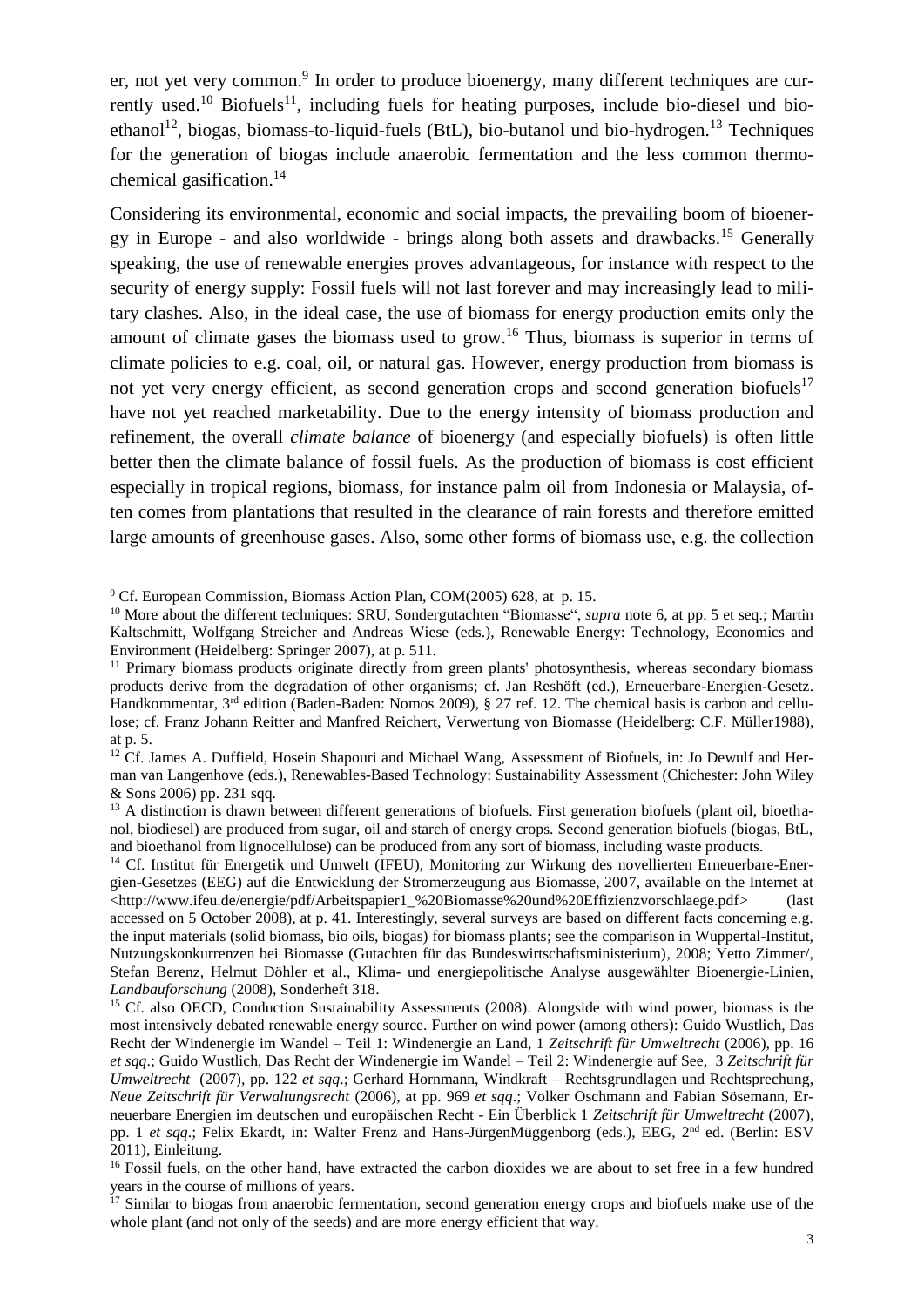er, not yet very common.<sup>9</sup> In order to produce bioenergy, many different techniques are currently used.<sup>10</sup> Biofuels<sup>11</sup>, including fuels for heating purposes, include bio-diesel und bioethanol<sup>12</sup>, biogas, biomass-to-liquid-fuels (BtL), bio-butanol und bio-hydrogen.<sup>13</sup> Techniques for the generation of biogas include anaerobic fermentation and the less common thermochemical gasification. $14$ 

Considering its environmental, economic and social impacts, the prevailing boom of bioenergy in Europe - and also worldwide - brings along both assets and drawbacks.<sup>15</sup> Generally speaking, the use of renewable energies proves advantageous, for instance with respect to the security of energy supply: Fossil fuels will not last forever and may increasingly lead to military clashes. Also, in the ideal case, the use of biomass for energy production emits only the amount of climate gases the biomass used to grow.<sup>16</sup> Thus, biomass is superior in terms of climate policies to e.g. coal, oil, or natural gas. However, energy production from biomass is not yet very energy efficient, as second generation crops and second generation biofuels<sup>17</sup> have not yet reached marketability. Due to the energy intensity of biomass production and refinement, the overall *climate balance* of bioenergy (and especially biofuels) is often little better then the climate balance of fossil fuels. As the production of biomass is cost efficient especially in tropical regions, biomass, for instance palm oil from Indonesia or Malaysia, often comes from plantations that resulted in the clearance of rain forests and therefore emitted large amounts of greenhouse gases. Also, some other forms of biomass use, e.g. the collection

<sup>9</sup> Cf. European Commission, Biomass Action Plan, COM(2005) 628, at p. 15.

<sup>&</sup>lt;sup>10</sup> More about the different techniques: SRU, Sondergutachten "Biomasse", *supra* note 6, at pp. 5 et seq.; Martin Kaltschmitt, Wolfgang Streicher and Andreas Wiese (eds.), Renewable Energy: Technology, Economics and Environment (Heidelberg: Springer 2007), at p. 511.

<sup>&</sup>lt;sup>11</sup> Primary biomass products originate directly from green plants' photosynthesis, whereas secondary biomass products derive from the degradation of other organisms; cf. Jan Reshöft (ed.), Erneuerbare-Energien-Gesetz. Handkommentar, 3<sup>rd</sup> edition (Baden-Baden: Nomos 2009), § 27 ref. 12. The chemical basis is carbon and cellulose; cf. Franz Johann Reitter and Manfred Reichert, Verwertung von Biomasse (Heidelberg: C.F. Müller1988), at p. 5.

<sup>&</sup>lt;sup>12</sup> Cf. James A. Duffield, Hosein Shapouri and Michael Wang, Assessment of Biofuels, in: Jo Dewulf and Herman van Langenhove (eds.), Renewables-Based Technology: Sustainability Assessment (Chichester: John Wiley & Sons 2006) pp. 231 sqq.

<sup>&</sup>lt;sup>13</sup> A distinction is drawn between different generations of biofuels. First generation biofuels (plant oil, bioethanol, biodiesel) are produced from sugar, oil and starch of energy crops. Second generation biofuels (biogas, BtL, and bioethanol from lignocellulose) can be produced from any sort of biomass, including waste products.

<sup>&</sup>lt;sup>14</sup> Cf. Institut für Energetik und Umwelt (IFEU), Monitoring zur Wirkung des novellierten Erneuerbare-Energien-Gesetzes (EEG) auf die Entwicklung der Stromerzeugung aus Biomasse, 2007, available on the Internet at <http://www.ifeu.de/energie/pdf/Arbeitspapier1\_%20Biomasse%20und%20Effizienzvorschlaege.pdf> (last accessed on 5 October 2008), at p. 41. Interestingly, several surveys are based on different facts concerning e.g. the input materials (solid biomass, bio oils, biogas) for biomass plants; see the comparison in Wuppertal-Institut, Nutzungskonkurrenzen bei Biomasse (Gutachten für das Bundeswirtschaftsministerium), 2008; Yetto Zimmer/, Stefan Berenz, Helmut Döhler et al., Klima- und energiepolitische Analyse ausgewählter Bioenergie-Linien, *Landbauforschung* (2008), Sonderheft 318.

<sup>&</sup>lt;sup>15</sup> Cf. also OECD, Conduction Sustainability Assessments (2008). Alongside with wind power, biomass is the most intensively debated renewable energy source. Further on wind power (among others): Guido Wustlich, Das Recht der Windenergie im Wandel – Teil 1: Windenergie an Land, 1 *Zeitschrift für Umweltrecht* (2006), pp. 16 *et sqq*.; Guido Wustlich, Das Recht der Windenergie im Wandel – Teil 2: Windenergie auf See, 3 *Zeitschrift für Umweltrecht* (2007), pp. 122 *et sqq*.; Gerhard Hornmann, Windkraft – Rechtsgrundlagen und Rechtsprechung, *Neue Zeitschrift für Verwaltungsrecht* (2006), at pp. 969 *et sqq*.; Volker Oschmann and Fabian Sösemann, Erneuerbare Energien im deutschen und europäischen Recht - Ein Überblick 1 *Zeitschrift für Umweltrecht* (2007), pp. 1 *et sqq.*; Felix Ekardt, in: Walter Frenz and Hans-JürgenMüggenborg (eds.), EEG, 2<sup>nd</sup> ed. (Berlin: ESV 2011), Einleitung.

<sup>&</sup>lt;sup>16</sup> Fossil fuels, on the other hand, have extracted the carbon dioxides we are about to set free in a few hundred years in the course of millions of years.

<sup>&</sup>lt;sup>17</sup> Similar to biogas from anaerobic fermentation, second generation energy crops and biofuels make use of the whole plant (and not only of the seeds) and are more energy efficient that way.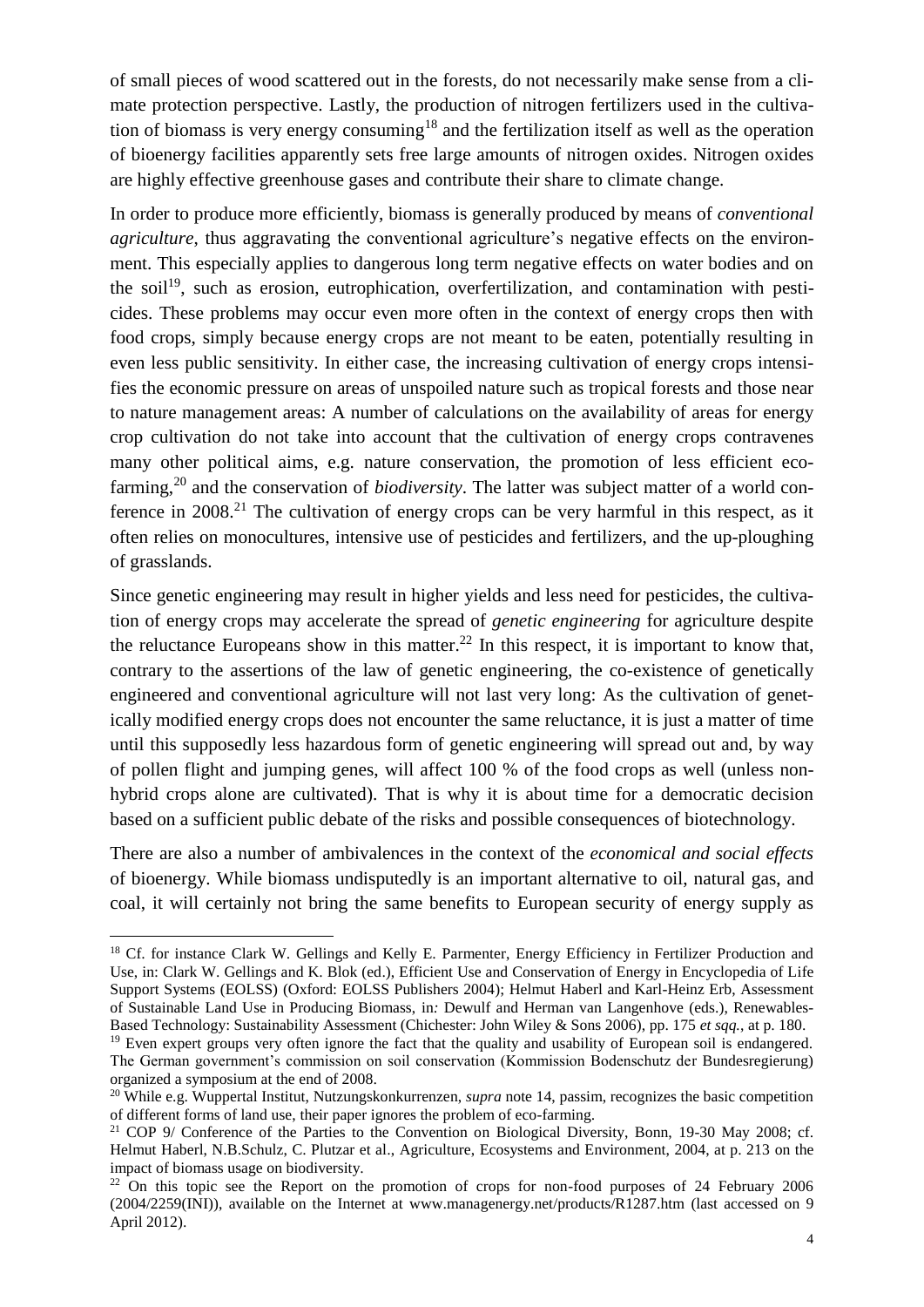of small pieces of wood scattered out in the forests, do not necessarily make sense from a climate protection perspective. Lastly, the production of nitrogen fertilizers used in the cultivation of biomass is very energy consuming<sup>18</sup> and the fertilization itself as well as the operation of bioenergy facilities apparently sets free large amounts of nitrogen oxides. Nitrogen oxides are highly effective greenhouse gases and contribute their share to climate change.

In order to produce more efficiently, biomass is generally produced by means of *conventional agriculture*, thus aggravating the conventional agriculture's negative effects on the environment. This especially applies to dangerous long term negative effects on water bodies and on the soil<sup>19</sup>, such as erosion, eutrophication, overfertilization, and contamination with pesticides. These problems may occur even more often in the context of energy crops then with food crops, simply because energy crops are not meant to be eaten, potentially resulting in even less public sensitivity. In either case, the increasing cultivation of energy crops intensifies the economic pressure on areas of unspoiled nature such as tropical forests and those near to nature management areas: A number of calculations on the availability of areas for energy crop cultivation do not take into account that the cultivation of energy crops contravenes many other political aims, e.g. nature conservation, the promotion of less efficient ecofarming, <sup>20</sup> and the conservation of *biodiversity*. The latter was subject matter of a world conference in 2008.<sup>21</sup> The cultivation of energy crops can be very harmful in this respect, as it often relies on monocultures, intensive use of pesticides and fertilizers, and the up-ploughing of grasslands.

Since genetic engineering may result in higher yields and less need for pesticides, the cultivation of energy crops may accelerate the spread of *genetic engineering* for agriculture despite the reluctance Europeans show in this matter.<sup>22</sup> In this respect, it is important to know that, contrary to the assertions of the law of genetic engineering, the co-existence of genetically engineered and conventional agriculture will not last very long: As the cultivation of genetically modified energy crops does not encounter the same reluctance, it is just a matter of time until this supposedly less hazardous form of genetic engineering will spread out and, by way of pollen flight and jumping genes, will affect 100 % of the food crops as well (unless nonhybrid crops alone are cultivated). That is why it is about time for a democratic decision based on a sufficient public debate of the risks and possible consequences of biotechnology.

There are also a number of ambivalences in the context of the *economical and social effects* of bioenergy. While biomass undisputedly is an important alternative to oil, natural gas, and coal, it will certainly not bring the same benefits to European security of energy supply as

<sup>&</sup>lt;sup>18</sup> Cf. for instance Clark W. Gellings and Kelly E. Parmenter, Energy Efficiency in Fertilizer Production and Use, in: Clark W. Gellings and K. Blok (ed.), Efficient Use and Conservation of Energy in Encyclopedia of Life Support Systems (EOLSS) (Oxford: EOLSS Publishers 2004); Helmut Haberl and Karl-Heinz Erb, Assessment of Sustainable Land Use in Producing Biomass, in*:* Dewulf and Herman van Langenhove (eds.), Renewables-Based Technology: Sustainability Assessment (Chichester: John Wiley & Sons 2006), pp. 175 *et sqq.*, at p. 180.

<sup>&</sup>lt;sup>19</sup> Even expert groups very often ignore the fact that the quality and usability of European soil is endangered. The German government's commission on soil conservation (Kommission Bodenschutz der Bundesregierung) organized a symposium at the end of 2008.

<sup>&</sup>lt;sup>20</sup> While e.g. Wuppertal Institut, Nutzungskonkurrenzen, *supra* note 14, passim, recognizes the basic competition of different forms of land use, their paper ignores the problem of eco-farming.

<sup>&</sup>lt;sup>21</sup> COP 9/ Conference of the Parties to the Convention on Biological Diversity, Bonn, 19-30 May 2008; cf. Helmut Haberl, N.B.Schulz, C. Plutzar et al., Agriculture, Ecosystems and Environment, 2004, at p. 213 on the impact of biomass usage on biodiversity.

 $22$  On this topic see the Report on the promotion of crops for non-food purposes of 24 February 2006 (2004/2259(INI)), available on the Internet at www.managenergy.net/products/R1287.htm (last accessed on 9 April 2012).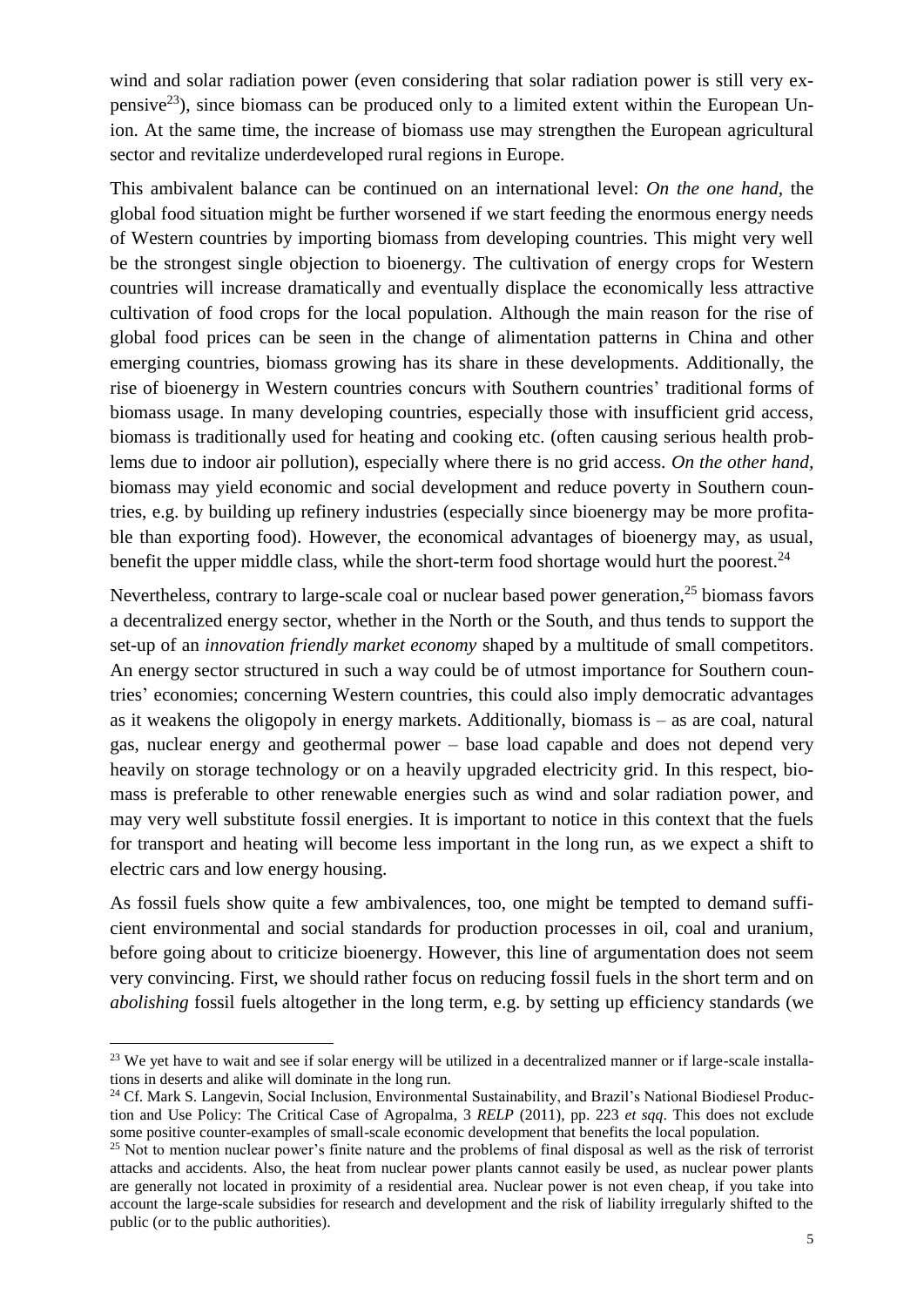wind and solar radiation power (even considering that solar radiation power is still very expensive<sup>23</sup>), since biomass can be produced only to a limited extent within the European Union. At the same time, the increase of biomass use may strengthen the European agricultural sector and revitalize underdeveloped rural regions in Europe.

This ambivalent balance can be continued on an international level: *On the one hand,* the global food situation might be further worsened if we start feeding the enormous energy needs of Western countries by importing biomass from developing countries. This might very well be the strongest single objection to bioenergy. The cultivation of energy crops for Western countries will increase dramatically and eventually displace the economically less attractive cultivation of food crops for the local population. Although the main reason for the rise of global food prices can be seen in the change of alimentation patterns in China and other emerging countries, biomass growing has its share in these developments. Additionally, the rise of bioenergy in Western countries concurs with Southern countries' traditional forms of biomass usage. In many developing countries, especially those with insufficient grid access, biomass is traditionally used for heating and cooking etc. (often causing serious health problems due to indoor air pollution), especially where there is no grid access. *On the other hand,* biomass may yield economic and social development and reduce poverty in Southern countries, e.g. by building up refinery industries (especially since bioenergy may be more profitable than exporting food). However, the economical advantages of bioenergy may, as usual, benefit the upper middle class, while the short-term food shortage would hurt the poorest.<sup>24</sup>

Nevertheless, contrary to large-scale coal or nuclear based power generation,<sup>25</sup> biomass favors a decentralized energy sector, whether in the North or the South, and thus tends to support the set-up of an *innovation friendly market economy* shaped by a multitude of small competitors. An energy sector structured in such a way could be of utmost importance for Southern countries' economies; concerning Western countries, this could also imply democratic advantages as it weakens the oligopoly in energy markets. Additionally, biomass is – as are coal, natural gas, nuclear energy and geothermal power – base load capable and does not depend very heavily on storage technology or on a heavily upgraded electricity grid. In this respect, biomass is preferable to other renewable energies such as wind and solar radiation power, and may very well substitute fossil energies. It is important to notice in this context that the fuels for transport and heating will become less important in the long run, as we expect a shift to electric cars and low energy housing.

As fossil fuels show quite a few ambivalences, too, one might be tempted to demand sufficient environmental and social standards for production processes in oil, coal and uranium, before going about to criticize bioenergy. However, this line of argumentation does not seem very convincing. First, we should rather focus on reducing fossil fuels in the short term and on *abolishing* fossil fuels altogether in the long term, e.g. by setting up efficiency standards (we

<sup>&</sup>lt;sup>23</sup> We yet have to wait and see if solar energy will be utilized in a decentralized manner or if large-scale installations in deserts and alike will dominate in the long run.

<sup>&</sup>lt;sup>24</sup> Cf. Mark S. Langevin, Social Inclusion, Environmental Sustainability, and Brazil's National Biodiesel Production and Use Policy: The Critical Case of Agropalma, 3 *RELP* (2011), pp. 223 *et sqq*. This does not exclude some positive counter-examples of small-scale economic development that benefits the local population.

<sup>&</sup>lt;sup>25</sup> Not to mention nuclear power's finite nature and the problems of final disposal as well as the risk of terrorist attacks and accidents. Also, the heat from nuclear power plants cannot easily be used, as nuclear power plants are generally not located in proximity of a residential area. Nuclear power is not even cheap, if you take into account the large-scale subsidies for research and development and the risk of liability irregularly shifted to the public (or to the public authorities).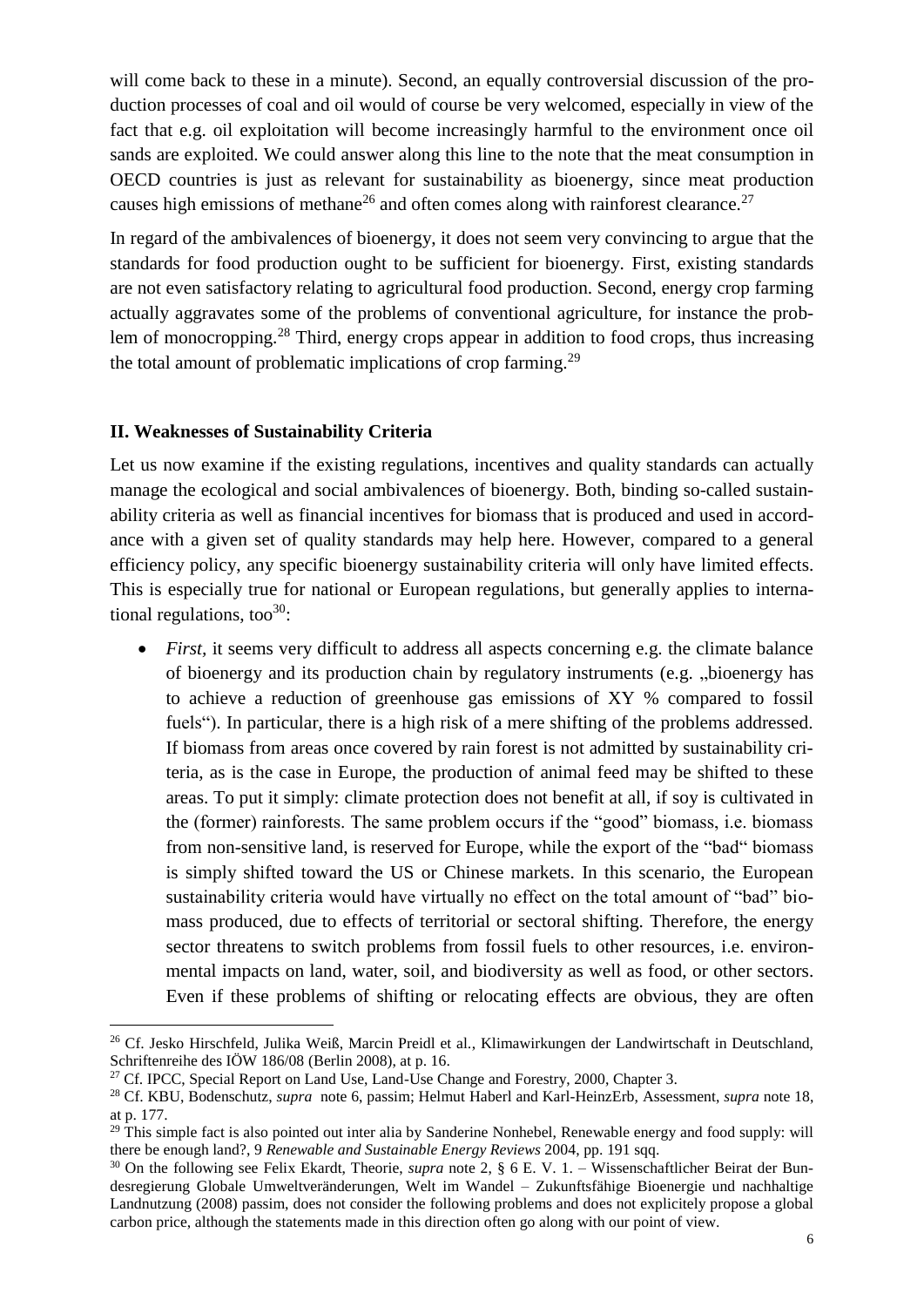will come back to these in a minute). Second, an equally controversial discussion of the production processes of coal and oil would of course be very welcomed, especially in view of the fact that e.g. oil exploitation will become increasingly harmful to the environment once oil sands are exploited. We could answer along this line to the note that the meat consumption in OECD countries is just as relevant for sustainability as bioenergy, since meat production causes high emissions of methane<sup>26</sup> and often comes along with rainforest clearance.<sup>27</sup>

In regard of the ambivalences of bioenergy, it does not seem very convincing to argue that the standards for food production ought to be sufficient for bioenergy. First, existing standards are not even satisfactory relating to agricultural food production. Second, energy crop farming actually aggravates some of the problems of conventional agriculture, for instance the problem of monocropping.<sup>28</sup> Third, energy crops appear in addition to food crops, thus increasing the total amount of problematic implications of crop farming.<sup>29</sup>

## **II. Weaknesses of Sustainability Criteria**

 $\overline{a}$ 

Let us now examine if the existing regulations, incentives and quality standards can actually manage the ecological and social ambivalences of bioenergy. Both, binding so-called sustainability criteria as well as financial incentives for biomass that is produced and used in accordance with a given set of quality standards may help here. However, compared to a general efficiency policy, any specific bioenergy sustainability criteria will only have limited effects. This is especially true for national or European regulations, but generally applies to international regulations, too $30$ :

 *First,* it seems very difficult to address all aspects concerning e.g. the climate balance of bioenergy and its production chain by regulatory instruments (e.g. "bioenergy has to achieve a reduction of greenhouse gas emissions of XY % compared to fossil fuels"). In particular, there is a high risk of a mere shifting of the problems addressed. If biomass from areas once covered by rain forest is not admitted by sustainability criteria, as is the case in Europe, the production of animal feed may be shifted to these areas. To put it simply: climate protection does not benefit at all, if soy is cultivated in the (former) rainforests. The same problem occurs if the "good" biomass, i.e. biomass from non-sensitive land, is reserved for Europe, while the export of the "bad" biomass is simply shifted toward the US or Chinese markets. In this scenario, the European sustainability criteria would have virtually no effect on the total amount of "bad" biomass produced, due to effects of territorial or sectoral shifting. Therefore, the energy sector threatens to switch problems from fossil fuels to other resources, i.e. environmental impacts on land, water, soil, and biodiversity as well as food, or other sectors. Even if these problems of shifting or relocating effects are obvious, they are often

<sup>26</sup> Cf. Jesko Hirschfeld, Julika Weiß, Marcin Preidl et al., Klimawirkungen der Landwirtschaft in Deutschland, Schriftenreihe des IÖW 186/08 (Berlin 2008), at p. 16.

<sup>&</sup>lt;sup>27</sup> Cf. IPCC, Special Report on Land Use, Land-Use Change and Forestry, 2000, Chapter 3.

<sup>28</sup> Cf. KBU, Bodenschutz, *supra* note 6, passim; Helmut Haberl and Karl-HeinzErb, Assessment, *supra* note 18, at p. 177.

 $^{29}$  This simple fact is also pointed out inter alia by Sanderine Nonhebel, Renewable energy and food supply: will there be enough land?, 9 *Renewable and Sustainable Energy Reviews* 2004, pp. 191 sqq.

<sup>&</sup>lt;sup>30</sup> On the following see Felix Ekardt, Theorie, *supra* note 2, § 6 E. V. 1. – Wissenschaftlicher Beirat der Bundesregierung Globale Umweltveränderungen, Welt im Wandel – Zukunftsfähige Bioenergie und nachhaltige Landnutzung (2008) passim, does not consider the following problems and does not explicitely propose a global carbon price, although the statements made in this direction often go along with our point of view.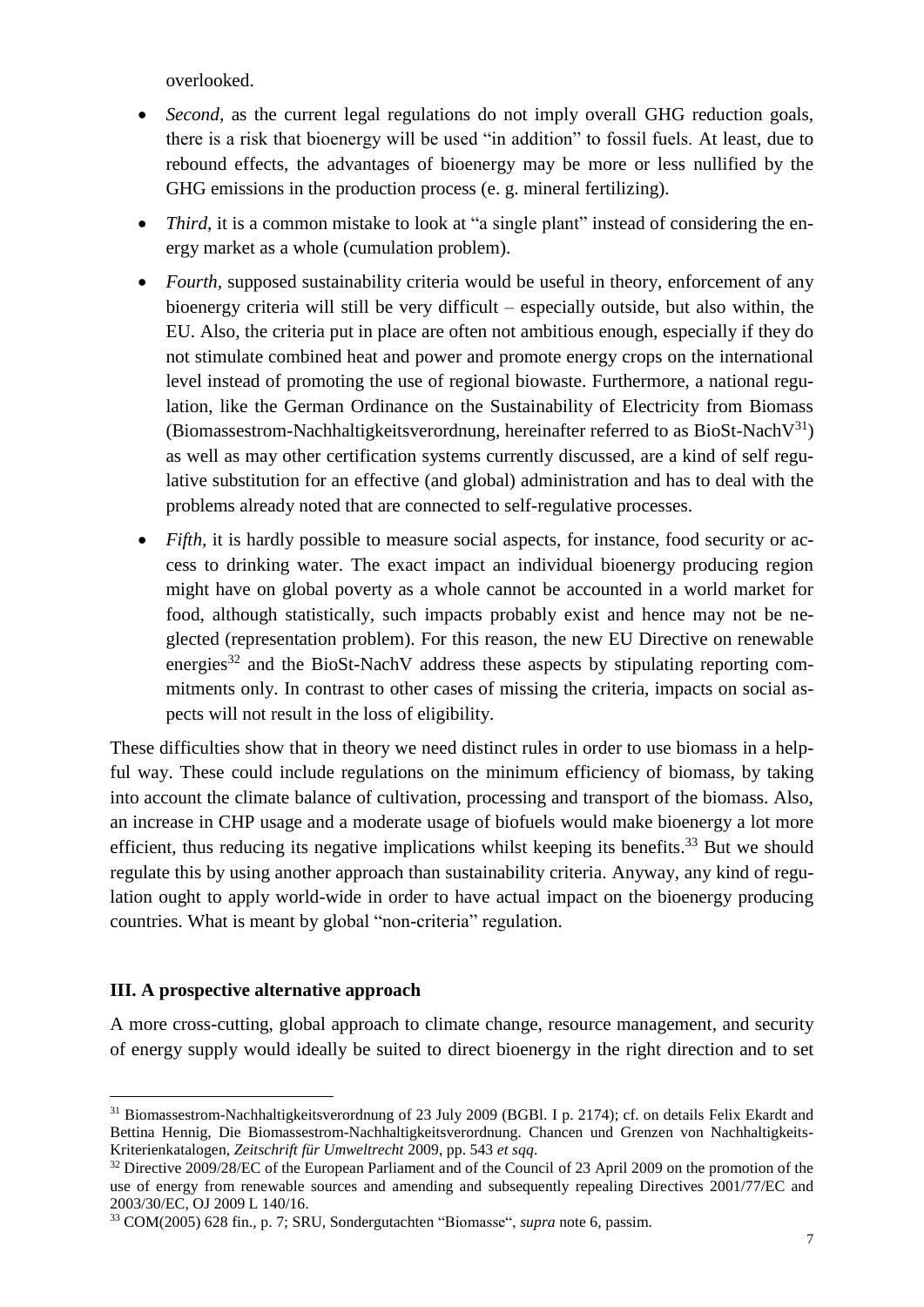overlooked.

- *Second*, as the current legal regulations do not imply overall GHG reduction goals, there is a risk that bioenergy will be used "in addition" to fossil fuels. At least, due to rebound effects, the advantages of bioenergy may be more or less nullified by the GHG emissions in the production process (e. g. mineral fertilizing).
- *Third*, it is a common mistake to look at "a single plant" instead of considering the energy market as a whole (cumulation problem).
- *Fourth*, supposed sustainability criteria would be useful in theory, enforcement of any bioenergy criteria will still be very difficult – especially outside, but also within, the EU. Also, the criteria put in place are often not ambitious enough, especially if they do not stimulate combined heat and power and promote energy crops on the international level instead of promoting the use of regional biowaste. Furthermore, a national regulation, like the German Ordinance on the Sustainability of Electricity from Biomass (Biomassestrom-Nachhaltigkeitsverordnung, hereinafter referred to as  $Bi$ oSt-Nach $V^{31}$ ) as well as may other certification systems currently discussed, are a kind of self regulative substitution for an effective (and global) administration and has to deal with the problems already noted that are connected to self-regulative processes.
- *Fifth*, it is hardly possible to measure social aspects, for instance, food security or access to drinking water. The exact impact an individual bioenergy producing region might have on global poverty as a whole cannot be accounted in a world market for food, although statistically, such impacts probably exist and hence may not be neglected (representation problem). For this reason, the new EU Directive on renewable energies<sup>32</sup> and the BioSt-NachV address these aspects by stipulating reporting commitments only. In contrast to other cases of missing the criteria, impacts on social aspects will not result in the loss of eligibility.

These difficulties show that in theory we need distinct rules in order to use biomass in a helpful way. These could include regulations on the minimum efficiency of biomass, by taking into account the climate balance of cultivation, processing and transport of the biomass. Also, an increase in CHP usage and a moderate usage of biofuels would make bioenergy a lot more efficient, thus reducing its negative implications whilst keeping its benefits.<sup>33</sup> But we should regulate this by using another approach than sustainability criteria. Anyway, any kind of regulation ought to apply world-wide in order to have actual impact on the bioenergy producing countries. What is meant by global "non-criteria" regulation.

## **III. A prospective alternative approach**

A more cross-cutting, global approach to climate change, resource management, and security of energy supply would ideally be suited to direct bioenergy in the right direction and to set

 $\overline{a}$ <sup>31</sup> Biomassestrom-Nachhaltigkeitsverordnung of 23 July 2009 (BGBl. I p. 2174); cf. on details Felix Ekardt and Bettina Hennig, Die Biomassestrom-Nachhaltigkeitsverordnung. Chancen und Grenzen von Nachhaltigkeits-Kriterienkatalogen, *Zeitschrift für Umweltrecht* 2009, pp. 543 *et sqq*.

<sup>32</sup> Directive 2009/28/EC of the European Parliament and of the Council of 23 April 2009 on the promotion of the use of energy from renewable sources and amending and subsequently repealing Directives 2001/77/EC and 2003/30/EC, OJ 2009 L 140/16.

<sup>33</sup> COM(2005) 628 fin., p. 7; SRU, Sondergutachten "Biomasse", *supra* note 6, passim.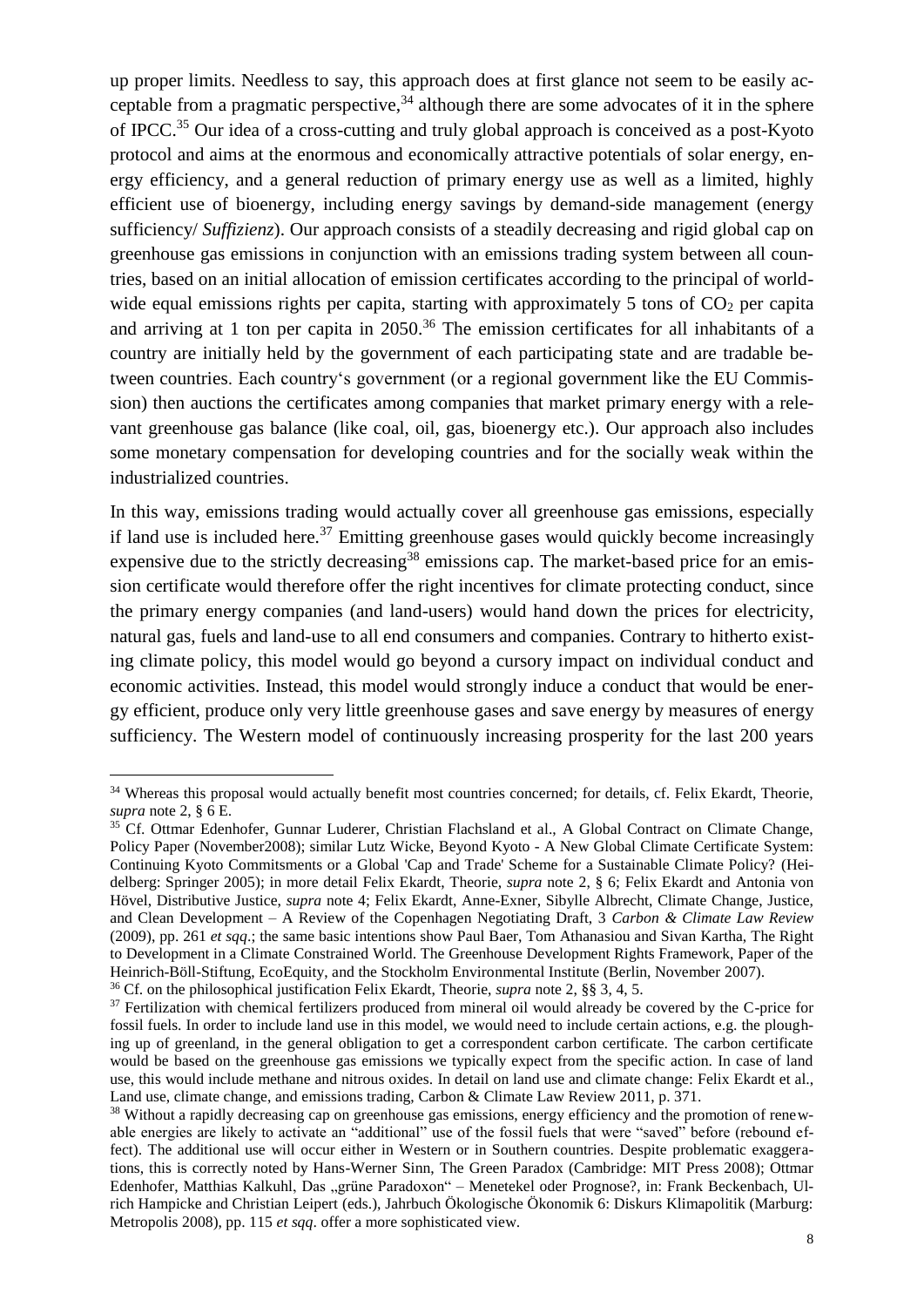up proper limits. Needless to say, this approach does at first glance not seem to be easily acceptable from a pragmatic perspective,  $34$  although there are some advocates of it in the sphere of IPCC.<sup>35</sup> Our idea of a cross-cutting and truly global approach is conceived as a post-Kyoto protocol and aims at the enormous and economically attractive potentials of solar energy, energy efficiency, and a general reduction of primary energy use as well as a limited, highly efficient use of bioenergy, including energy savings by demand-side management (energy sufficiency/ *Suffizienz*). Our approach consists of a steadily decreasing and rigid global cap on greenhouse gas emissions in conjunction with an emissions trading system between all countries, based on an initial allocation of emission certificates according to the principal of worldwide equal emissions rights per capita, starting with approximately 5 tons of  $CO<sub>2</sub>$  per capita and arriving at 1 ton per capita in  $2050<sup>36</sup>$ . The emission certificates for all inhabitants of a country are initially held by the government of each participating state and are tradable between countries. Each country's government (or a regional government like the EU Commission) then auctions the certificates among companies that market primary energy with a relevant greenhouse gas balance (like coal, oil, gas, bioenergy etc.). Our approach also includes some monetary compensation for developing countries and for the socially weak within the industrialized countries.

In this way, emissions trading would actually cover all greenhouse gas emissions, especially if land use is included here.<sup>37</sup> Emitting greenhouse gases would quickly become increasingly expensive due to the strictly decreasing<sup>38</sup> emissions cap. The market-based price for an emission certificate would therefore offer the right incentives for climate protecting conduct, since the primary energy companies (and land-users) would hand down the prices for electricity, natural gas, fuels and land-use to all end consumers and companies. Contrary to hitherto existing climate policy, this model would go beyond a cursory impact on individual conduct and economic activities. Instead, this model would strongly induce a conduct that would be energy efficient, produce only very little greenhouse gases and save energy by measures of energy sufficiency. The Western model of continuously increasing prosperity for the last 200 years

<sup>&</sup>lt;sup>34</sup> Whereas this proposal would actually benefit most countries concerned; for details, cf. Felix Ekardt, Theorie, *supra* note 2, § 6 E.

<sup>&</sup>lt;sup>35</sup> Cf. Ottmar Edenhofer, Gunnar Luderer, Christian Flachsland et al., A Global Contract on Climate Change, Policy Paper (November2008); similar Lutz Wicke, Beyond Kyoto - A New Global Climate Certificate System: Continuing Kyoto Commitsments or a Global 'Cap and Trade' Scheme for a Sustainable Climate Policy? (Heidelberg: Springer 2005); in more detail Felix Ekardt, Theorie, *supra* note 2, § 6; Felix Ekardt and Antonia von Hövel, Distributive Justice, *supra* note 4; Felix Ekardt, Anne-Exner, Sibylle Albrecht, Climate Change, Justice, and Clean Development – A Review of the Copenhagen Negotiating Draft, 3 *Carbon & Climate Law Review* (2009), pp. 261 *et sqq*.; the same basic intentions show Paul Baer, Tom Athanasiou and Sivan Kartha, The Right to Development in a Climate Constrained World. The Greenhouse Development Rights Framework, Paper of the Heinrich-Böll-Stiftung, EcoEquity, and the Stockholm Environmental Institute (Berlin, November 2007).

<sup>36</sup> Cf. on the philosophical justification Felix Ekardt, Theorie, *supra* note 2, §§ 3, 4, 5.

<sup>&</sup>lt;sup>37</sup> Fertilization with chemical fertilizers produced from mineral oil would already be covered by the C-price for fossil fuels. In order to include land use in this model, we would need to include certain actions, e.g. the ploughing up of greenland, in the general obligation to get a correspondent carbon certificate. The carbon certificate would be based on the greenhouse gas emissions we typically expect from the specific action. In case of land use, this would include methane and nitrous oxides. In detail on land use and climate change: Felix Ekardt et al., Land use, climate change, and emissions trading, Carbon & Climate Law Review 2011, p. 371.

<sup>&</sup>lt;sup>38</sup> Without a rapidly decreasing cap on greenhouse gas emissions, energy efficiency and the promotion of renewable energies are likely to activate an "additional" use of the fossil fuels that were "saved" before (rebound effect). The additional use will occur either in Western or in Southern countries. Despite problematic exaggerations, this is correctly noted by Hans-Werner Sinn, The Green Paradox (Cambridge: MIT Press 2008); Ottmar Edenhofer, Matthias Kalkuhl, Das "grüne Paradoxon" – Menetekel oder Prognose?, in: Frank Beckenbach, Ulrich Hampicke and Christian Leipert (eds.), Jahrbuch Ökologische Ökonomik 6: Diskurs Klimapolitik (Marburg: Metropolis 2008), pp. 115 *et sqq*. offer a more sophisticated view.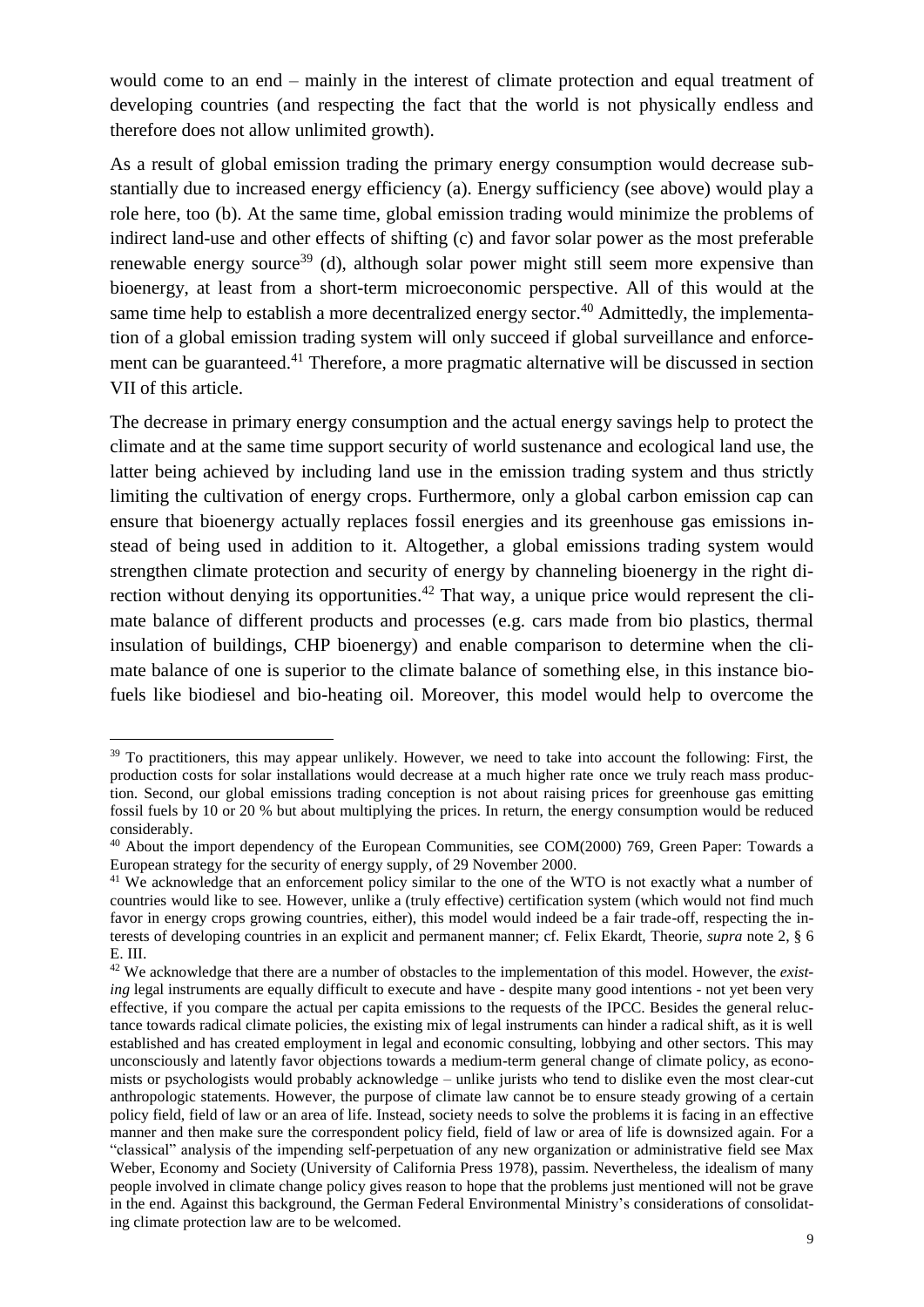would come to an end – mainly in the interest of climate protection and equal treatment of developing countries (and respecting the fact that the world is not physically endless and therefore does not allow unlimited growth).

As a result of global emission trading the primary energy consumption would decrease substantially due to increased energy efficiency (a). Energy sufficiency (see above) would play a role here, too (b). At the same time, global emission trading would minimize the problems of indirect land-use and other effects of shifting (c) and favor solar power as the most preferable renewable energy source<sup>39</sup> (d), although solar power might still seem more expensive than bioenergy, at least from a short-term microeconomic perspective. All of this would at the same time help to establish a more decentralized energy sector.<sup>40</sup> Admittedly, the implementation of a global emission trading system will only succeed if global surveillance and enforcement can be guaranteed.<sup>41</sup> Therefore, a more pragmatic alternative will be discussed in section VII of this article.

The decrease in primary energy consumption and the actual energy savings help to protect the climate and at the same time support security of world sustenance and ecological land use, the latter being achieved by including land use in the emission trading system and thus strictly limiting the cultivation of energy crops. Furthermore, only a global carbon emission cap can ensure that bioenergy actually replaces fossil energies and its greenhouse gas emissions instead of being used in addition to it. Altogether, a global emissions trading system would strengthen climate protection and security of energy by channeling bioenergy in the right direction without denying its opportunities.<sup>42</sup> That way, a unique price would represent the climate balance of different products and processes (e.g. cars made from bio plastics, thermal insulation of buildings, CHP bioenergy) and enable comparison to determine when the climate balance of one is superior to the climate balance of something else, in this instance biofuels like biodiesel and bio-heating oil. Moreover, this model would help to overcome the

<sup>&</sup>lt;sup>39</sup> To practitioners, this may appear unlikely. However, we need to take into account the following: First, the production costs for solar installations would decrease at a much higher rate once we truly reach mass production. Second, our global emissions trading conception is not about raising prices for greenhouse gas emitting fossil fuels by 10 or 20 % but about multiplying the prices. In return, the energy consumption would be reduced considerably.

<sup>&</sup>lt;sup>40</sup> About the import dependency of the European Communities, see COM(2000) 769, Green Paper: Towards a European strategy for the security of energy supply, of 29 November 2000.

<sup>&</sup>lt;sup>41</sup> We acknowledge that an enforcement policy similar to the one of the WTO is not exactly what a number of countries would like to see. However, unlike a (truly effective) certification system (which would not find much favor in energy crops growing countries, either), this model would indeed be a fair trade-off, respecting the interests of developing countries in an explicit and permanent manner; cf. Felix Ekardt, Theorie, *supra* note 2, § 6 E. III.

<sup>42</sup> We acknowledge that there are a number of obstacles to the implementation of this model. However, the *existing* legal instruments are equally difficult to execute and have - despite many good intentions - not yet been very effective, if you compare the actual per capita emissions to the requests of the IPCC. Besides the general reluctance towards radical climate policies, the existing mix of legal instruments can hinder a radical shift, as it is well established and has created employment in legal and economic consulting, lobbying and other sectors. This may unconsciously and latently favor objections towards a medium-term general change of climate policy, as economists or psychologists would probably acknowledge – unlike jurists who tend to dislike even the most clear-cut anthropologic statements. However, the purpose of climate law cannot be to ensure steady growing of a certain policy field, field of law or an area of life. Instead, society needs to solve the problems it is facing in an effective manner and then make sure the correspondent policy field, field of law or area of life is downsized again. For a "classical" analysis of the impending self-perpetuation of any new organization or administrative field see Max Weber, Economy and Society (University of California Press 1978), passim. Nevertheless, the idealism of many people involved in climate change policy gives reason to hope that the problems just mentioned will not be grave in the end. Against this background, the German Federal Environmental Ministry's considerations of consolidating climate protection law are to be welcomed.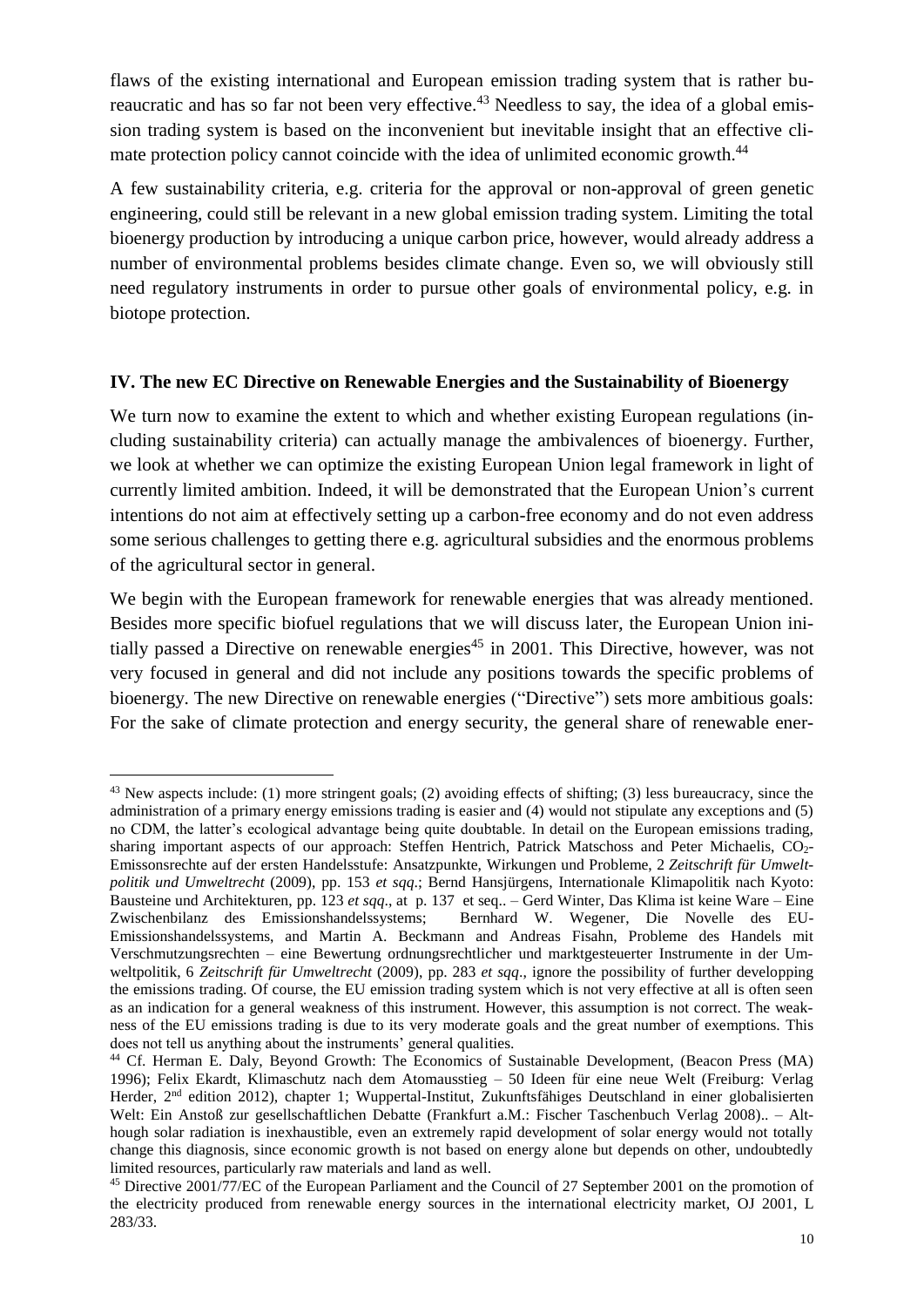flaws of the existing international and European emission trading system that is rather bureaucratic and has so far not been very effective.<sup>43</sup> Needless to say, the idea of a global emission trading system is based on the inconvenient but inevitable insight that an effective climate protection policy cannot coincide with the idea of unlimited economic growth.<sup>44</sup>

A few sustainability criteria, e.g. criteria for the approval or non-approval of green genetic engineering, could still be relevant in a new global emission trading system. Limiting the total bioenergy production by introducing a unique carbon price, however, would already address a number of environmental problems besides climate change. Even so, we will obviously still need regulatory instruments in order to pursue other goals of environmental policy, e.g. in biotope protection.

## **IV. The new EC Directive on Renewable Energies and the Sustainability of Bioenergy**

We turn now to examine the extent to which and whether existing European regulations (including sustainability criteria) can actually manage the ambivalences of bioenergy. Further, we look at whether we can optimize the existing European Union legal framework in light of currently limited ambition. Indeed, it will be demonstrated that the European Union's current intentions do not aim at effectively setting up a carbon-free economy and do not even address some serious challenges to getting there e.g. agricultural subsidies and the enormous problems of the agricultural sector in general.

We begin with the European framework for renewable energies that was already mentioned. Besides more specific biofuel regulations that we will discuss later, the European Union initially passed a Directive on renewable energies<sup>45</sup> in 2001. This Directive, however, was not very focused in general and did not include any positions towards the specific problems of bioenergy. The new Directive on renewable energies ("Directive") sets more ambitious goals: For the sake of climate protection and energy security, the general share of renewable ener-

<sup>&</sup>lt;sup>43</sup> New aspects include: (1) more stringent goals; (2) avoiding effects of shifting; (3) less bureaucracy, since the administration of a primary energy emissions trading is easier and (4) would not stipulate any exceptions and (5) no CDM, the latter's ecological advantage being quite doubtable. In detail on the European emissions trading, sharing important aspects of our approach: Steffen Hentrich, Patrick Matschoss and Peter Michaelis, CO<sub>2</sub>-Emissonsrechte auf der ersten Handelsstufe: Ansatzpunkte, Wirkungen und Probleme, 2 *Zeitschrift für Umweltpolitik und Umweltrecht* (2009), pp. 153 *et sqq*.; Bernd Hansjürgens, Internationale Klimapolitik nach Kyoto: Bausteine und Architekturen, pp. 123 *et sqq*., at p. 137 et seq.. – Gerd Winter, Das Klima ist keine Ware – Eine Zwischenbilanz des Emissionshandelssystems; Bernhard W. Wegener, Die Novelle des EU-Emissionshandelssystems, and Martin A. Beckmann and Andreas Fisahn, Probleme des Handels mit Verschmutzungsrechten – eine Bewertung ordnungsrechtlicher und marktgesteuerter Instrumente in der Umweltpolitik, 6 *Zeitschrift für Umweltrecht* (2009), pp. 283 *et sqq*., ignore the possibility of further developping the emissions trading. Of course, the EU emission trading system which is not very effective at all is often seen as an indication for a general weakness of this instrument. However, this assumption is not correct. The weakness of the EU emissions trading is due to its very moderate goals and the great number of exemptions. This does not tell us anything about the instruments' general qualities.

<sup>&</sup>lt;sup>44</sup> Cf. Herman E. Daly, Beyond Growth: The Economics of Sustainable Development, (Beacon Press (MA) 1996); Felix Ekardt, Klimaschutz nach dem Atomausstieg – 50 Ideen für eine neue Welt (Freiburg: Verlag Herder, 2<sup>nd</sup> edition 2012), chapter 1; Wuppertal-Institut, Zukunftsfähiges Deutschland in einer globalisierten Welt: Ein Anstoß zur gesellschaftlichen Debatte (Frankfurt a.M.: Fischer Taschenbuch Verlag 2008).. – Although solar radiation is inexhaustible, even an extremely rapid development of solar energy would not totally change this diagnosis, since economic growth is not based on energy alone but depends on other, undoubtedly limited resources, particularly raw materials and land as well.

<sup>45</sup> Directive 2001/77/EC of the European Parliament and the Council of 27 September 2001 on the promotion of the electricity produced from renewable energy sources in the international electricity market, OJ 2001, L 283/33.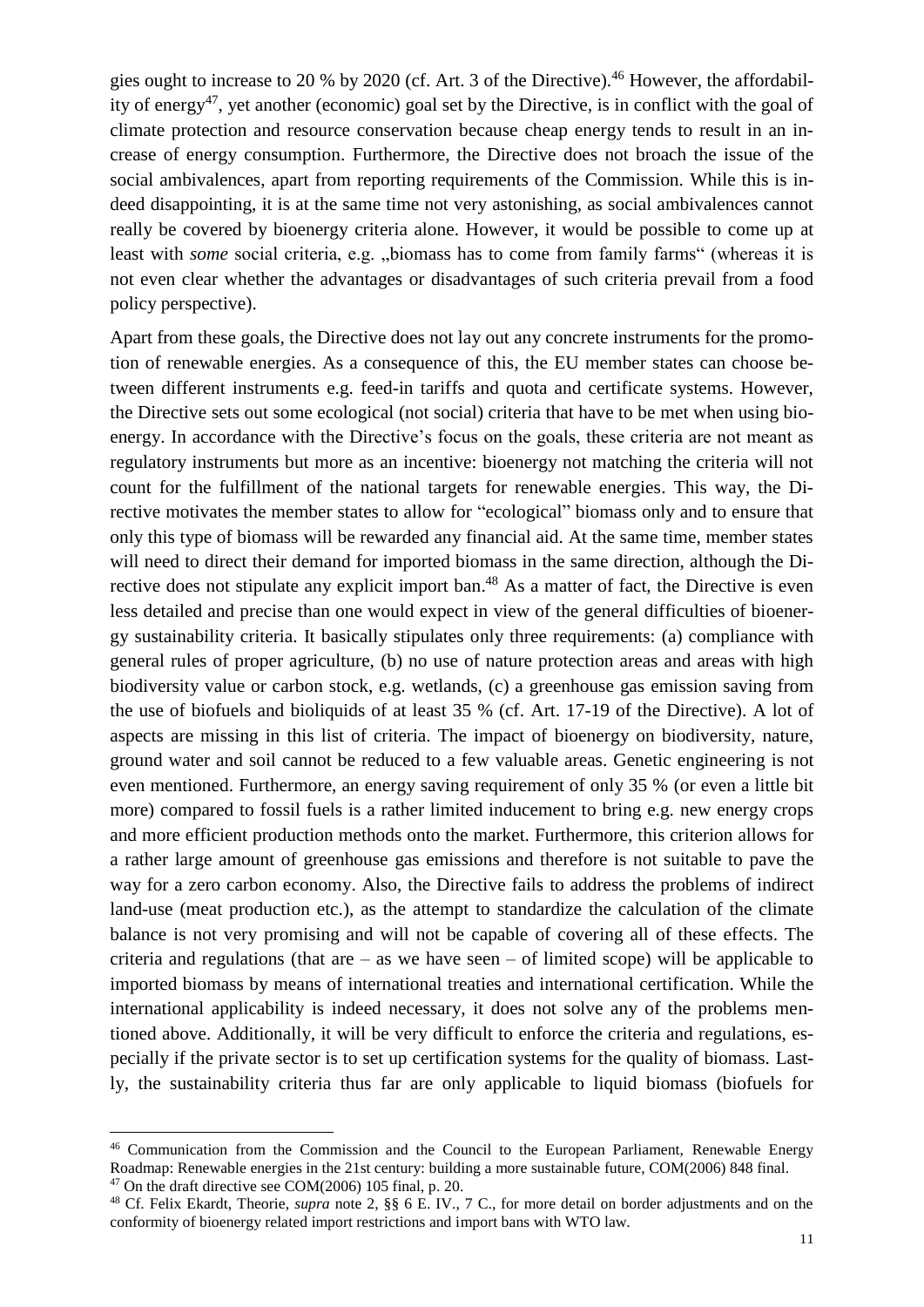gies ought to increase to 20 % by 2020 (cf. Art. 3 of the Directive).<sup>46</sup> However, the affordability of energy<sup>47</sup>, yet another (economic) goal set by the Directive, is in conflict with the goal of climate protection and resource conservation because cheap energy tends to result in an increase of energy consumption. Furthermore, the Directive does not broach the issue of the social ambivalences, apart from reporting requirements of the Commission. While this is indeed disappointing, it is at the same time not very astonishing, as social ambivalences cannot really be covered by bioenergy criteria alone. However, it would be possible to come up at least with *some* social criteria, e.g. "biomass has to come from family farms" (whereas it is not even clear whether the advantages or disadvantages of such criteria prevail from a food policy perspective).

Apart from these goals, the Directive does not lay out any concrete instruments for the promotion of renewable energies. As a consequence of this, the EU member states can choose between different instruments e.g. feed-in tariffs and quota and certificate systems. However, the Directive sets out some ecological (not social) criteria that have to be met when using bioenergy. In accordance with the Directive's focus on the goals, these criteria are not meant as regulatory instruments but more as an incentive: bioenergy not matching the criteria will not count for the fulfillment of the national targets for renewable energies. This way, the Directive motivates the member states to allow for "ecological" biomass only and to ensure that only this type of biomass will be rewarded any financial aid. At the same time, member states will need to direct their demand for imported biomass in the same direction, although the Directive does not stipulate any explicit import ban.<sup>48</sup> As a matter of fact, the Directive is even less detailed and precise than one would expect in view of the general difficulties of bioenergy sustainability criteria. It basically stipulates only three requirements: (a) compliance with general rules of proper agriculture, (b) no use of nature protection areas and areas with high biodiversity value or carbon stock, e.g. wetlands, (c) a greenhouse gas emission saving from the use of biofuels and bioliquids of at least 35 % (cf. Art. 17-19 of the Directive). A lot of aspects are missing in this list of criteria. The impact of bioenergy on biodiversity, nature, ground water and soil cannot be reduced to a few valuable areas. Genetic engineering is not even mentioned. Furthermore, an energy saving requirement of only 35 % (or even a little bit more) compared to fossil fuels is a rather limited inducement to bring e.g. new energy crops and more efficient production methods onto the market. Furthermore, this criterion allows for a rather large amount of greenhouse gas emissions and therefore is not suitable to pave the way for a zero carbon economy. Also, the Directive fails to address the problems of indirect land-use (meat production etc.), as the attempt to standardize the calculation of the climate balance is not very promising and will not be capable of covering all of these effects. The criteria and regulations (that are  $-$  as we have seen  $-$  of limited scope) will be applicable to imported biomass by means of international treaties and international certification. While the international applicability is indeed necessary, it does not solve any of the problems mentioned above. Additionally, it will be very difficult to enforce the criteria and regulations, especially if the private sector is to set up certification systems for the quality of biomass. Lastly, the sustainability criteria thus far are only applicable to liquid biomass (biofuels for

<sup>46</sup> Communication from the Commission and the Council to the European Parliament, Renewable Energy Roadmap: Renewable energies in the 21st century: building a more sustainable future, COM(2006) 848 final. <sup>47</sup> On the draft directive see COM(2006) 105 final, p. 20.

<sup>48</sup> Cf. Felix Ekardt, Theorie, *supra* note 2, §§ 6 E. IV., 7 C., for more detail on border adjustments and on the conformity of bioenergy related import restrictions and import bans with WTO law.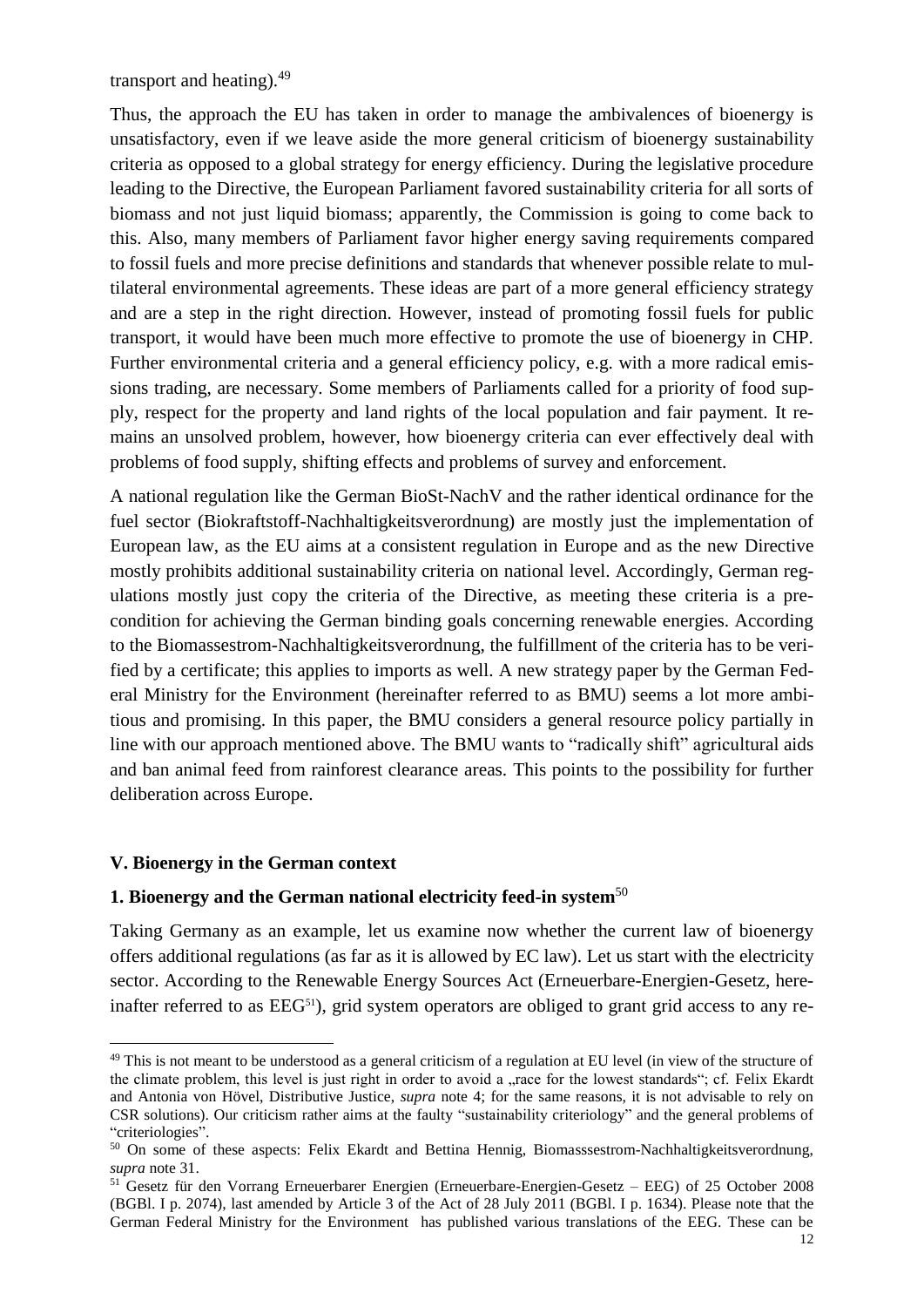transport and heating). $49$ 

Thus, the approach the EU has taken in order to manage the ambivalences of bioenergy is unsatisfactory, even if we leave aside the more general criticism of bioenergy sustainability criteria as opposed to a global strategy for energy efficiency. During the legislative procedure leading to the Directive, the European Parliament favored sustainability criteria for all sorts of biomass and not just liquid biomass; apparently, the Commission is going to come back to this. Also, many members of Parliament favor higher energy saving requirements compared to fossil fuels and more precise definitions and standards that whenever possible relate to multilateral environmental agreements. These ideas are part of a more general efficiency strategy and are a step in the right direction. However, instead of promoting fossil fuels for public transport, it would have been much more effective to promote the use of bioenergy in CHP. Further environmental criteria and a general efficiency policy, e.g. with a more radical emissions trading, are necessary. Some members of Parliaments called for a priority of food supply, respect for the property and land rights of the local population and fair payment. It remains an unsolved problem, however, how bioenergy criteria can ever effectively deal with problems of food supply, shifting effects and problems of survey and enforcement.

A national regulation like the German BioSt-NachV and the rather identical ordinance for the fuel sector (Biokraftstoff-Nachhaltigkeitsverordnung) are mostly just the implementation of European law, as the EU aims at a consistent regulation in Europe and as the new Directive mostly prohibits additional sustainability criteria on national level. Accordingly, German regulations mostly just copy the criteria of the Directive, as meeting these criteria is a precondition for achieving the German binding goals concerning renewable energies. According to the Biomassestrom-Nachhaltigkeitsverordnung, the fulfillment of the criteria has to be verified by a certificate; this applies to imports as well. A new strategy paper by the German Federal Ministry for the Environment (hereinafter referred to as BMU) seems a lot more ambitious and promising. In this paper, the BMU considers a general resource policy partially in line with our approach mentioned above. The BMU wants to "radically shift" agricultural aids and ban animal feed from rainforest clearance areas. This points to the possibility for further deliberation across Europe.

## **V. Bioenergy in the German context**

 $\overline{a}$ 

## **1. Bioenergy and the German national electricity feed-in system**<sup>50</sup>

Taking Germany as an example, let us examine now whether the current law of bioenergy offers additional regulations (as far as it is allowed by EC law). Let us start with the electricity sector. According to the Renewable Energy Sources Act (Erneuerbare-Energien-Gesetz, hereinafter referred to as EEG<sup>51</sup>), grid system operators are obliged to grant grid access to any re-

<sup>&</sup>lt;sup>49</sup> This is not meant to be understood as a general criticism of a regulation at EU level (in view of the structure of the climate problem, this level is just right in order to avoid a "race for the lowest standards"; cf. Felix Ekardt and Antonia von Hövel, Distributive Justice, *supra* note 4; for the same reasons, it is not advisable to rely on CSR solutions). Our criticism rather aims at the faulty "sustainability criteriology" and the general problems of "criteriologies".

<sup>&</sup>lt;sup>50</sup> On some of these aspects: Felix Ekardt and Bettina Hennig, Biomasssestrom-Nachhaltigkeitsverordnung, *supra* note 31.

<sup>51</sup> Gesetz für den Vorrang Erneuerbarer Energien (Erneuerbare-Energien-Gesetz – EEG) of 25 October 2008 (BGBl. I p. 2074), last amended by Article 3 of the Act of 28 July 2011 (BGBl. I p. 1634). Please note that the German Federal Ministry for the Environment has published various translations of the EEG. These can be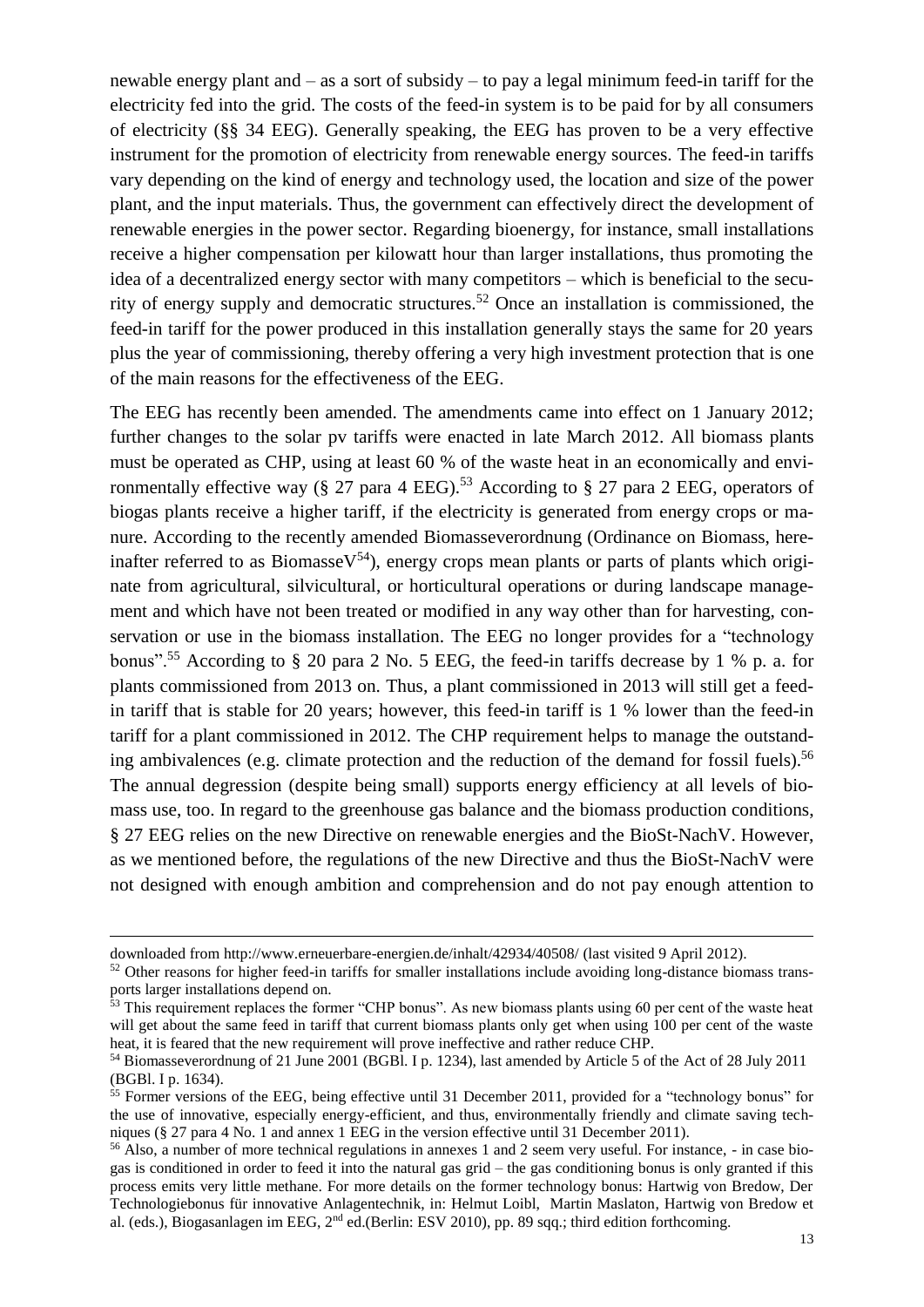newable energy plant and – as a sort of subsidy – to pay a legal minimum feed-in tariff for the electricity fed into the grid. The costs of the feed-in system is to be paid for by all consumers of electricity (§§ 34 EEG). Generally speaking, the EEG has proven to be a very effective instrument for the promotion of electricity from renewable energy sources. The feed-in tariffs vary depending on the kind of energy and technology used, the location and size of the power plant, and the input materials. Thus, the government can effectively direct the development of renewable energies in the power sector. Regarding bioenergy, for instance, small installations receive a higher compensation per kilowatt hour than larger installations, thus promoting the idea of a decentralized energy sector with many competitors – which is beneficial to the security of energy supply and democratic structures.<sup>52</sup> Once an installation is commissioned, the feed-in tariff for the power produced in this installation generally stays the same for 20 years plus the year of commissioning, thereby offering a very high investment protection that is one of the main reasons for the effectiveness of the EEG.

The EEG has recently been amended. The amendments came into effect on 1 January 2012; further changes to the solar pv tariffs were enacted in late March 2012. All biomass plants must be operated as CHP, using at least 60 % of the waste heat in an economically and environmentally effective way (§ 27 para 4 EEG).<sup>53</sup> According to § 27 para 2 EEG, operators of biogas plants receive a higher tariff, if the electricity is generated from energy crops or manure. According to the recently amended Biomasseverordnung (Ordinance on Biomass, hereinafter referred to as Biomasse $V^{54}$ ), energy crops mean plants or parts of plants which originate from agricultural, silvicultural, or horticultural operations or during landscape management and which have not been treated or modified in any way other than for harvesting, conservation or use in the biomass installation. The EEG no longer provides for a "technology bonus".<sup>55</sup> According to § 20 para 2 No. 5 EEG, the feed-in tariffs decrease by 1 % p. a. for plants commissioned from 2013 on. Thus, a plant commissioned in 2013 will still get a feedin tariff that is stable for 20 years; however, this feed-in tariff is 1 % lower than the feed-in tariff for a plant commissioned in 2012. The CHP requirement helps to manage the outstanding ambivalences (e.g. climate protection and the reduction of the demand for fossil fuels).<sup>56</sup> The annual degression (despite being small) supports energy efficiency at all levels of biomass use, too. In regard to the greenhouse gas balance and the biomass production conditions, § 27 EEG relies on the new Directive on renewable energies and the BioSt-NachV. However, as we mentioned before, the regulations of the new Directive and thus the BioSt-NachV were not designed with enough ambition and comprehension and do not pay enough attention to

downloaded from http://www.erneuerbare-energien.de/inhalt/42934/40508/ (last visited 9 April 2012).

 $52$  Other reasons for higher feed-in tariffs for smaller installations include avoiding long-distance biomass transports larger installations depend on.

<sup>&</sup>lt;sup>53</sup> This requirement replaces the former "CHP bonus". As new biomass plants using 60 per cent of the waste heat will get about the same feed in tariff that current biomass plants only get when using 100 per cent of the waste heat, it is feared that the new requirement will prove ineffective and rather reduce CHP.

<sup>54</sup> Biomasseverordnung of 21 June 2001 (BGBl. I p. 1234), last amended by Article 5 of the Act of 28 July 2011 (BGBl. I p. 1634).

 $55$  Former versions of the EEG, being effective until 31 December 2011, provided for a "technology bonus" for the use of innovative, especially energy-efficient, and thus, environmentally friendly and climate saving techniques (§ 27 para 4 No. 1 and annex 1 EEG in the version effective until 31 December 2011).

<sup>56</sup> Also, a number of more technical regulations in annexes 1 and 2 seem very useful. For instance, - in case biogas is conditioned in order to feed it into the natural gas grid – the gas conditioning bonus is only granted if this process emits very little methane. For more details on the former technology bonus: Hartwig von Bredow, Der Technologiebonus für innovative Anlagentechnik, in: Helmut Loibl, Martin Maslaton, Hartwig von Bredow et al. (eds.), Biogasanlagen im EEG, 2<sup>nd</sup> ed.(Berlin: ESV 2010), pp. 89 sqq.; third edition forthcoming.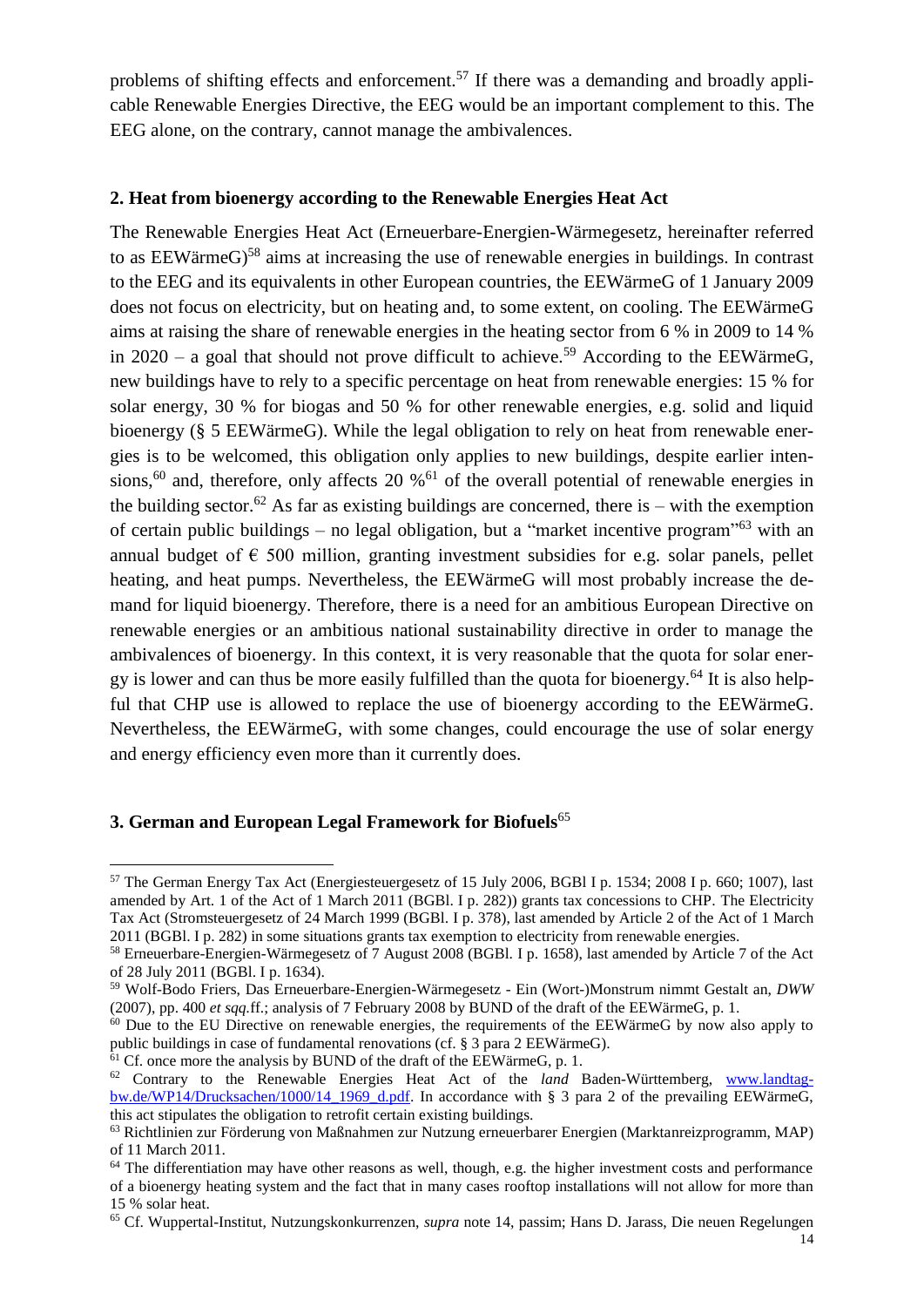problems of shifting effects and enforcement.<sup>57</sup> If there was a demanding and broadly applicable Renewable Energies Directive, the EEG would be an important complement to this. The EEG alone, on the contrary, cannot manage the ambivalences.

## **2. Heat from bioenergy according to the Renewable Energies Heat Act**

The Renewable Energies Heat Act (Erneuerbare-Energien-Wärmegesetz, hereinafter referred to as EEWärmeG)<sup>58</sup> aims at increasing the use of renewable energies in buildings. In contrast to the EEG and its equivalents in other European countries, the EEWärmeG of 1 January 2009 does not focus on electricity, but on heating and, to some extent, on cooling. The EEWärmeG aims at raising the share of renewable energies in the heating sector from 6 % in 2009 to 14 % in 2020 – a goal that should not prove difficult to achieve.<sup>59</sup> According to the EEWärmeG, new buildings have to rely to a specific percentage on heat from renewable energies: 15 % for solar energy, 30 % for biogas and 50 % for other renewable energies, e.g. solid and liquid bioenergy (§ 5 EEWärmeG). While the legal obligation to rely on heat from renewable energies is to be welcomed, this obligation only applies to new buildings, despite earlier intensions,<sup>60</sup> and, therefore, only affects 20  $%$ <sup>61</sup> of the overall potential of renewable energies in the building sector.<sup>62</sup> As far as existing buildings are concerned, there is – with the exemption of certain public buildings – no legal obligation, but a "market incentive program"<sup>63</sup> with an annual budget of  $\epsilon$  500 million, granting investment subsidies for e.g. solar panels, pellet heating, and heat pumps. Nevertheless, the EEWärmeG will most probably increase the demand for liquid bioenergy. Therefore, there is a need for an ambitious European Directive on renewable energies or an ambitious national sustainability directive in order to manage the ambivalences of bioenergy. In this context, it is very reasonable that the quota for solar energy is lower and can thus be more easily fulfilled than the quota for bioenergy.<sup>64</sup> It is also helpful that CHP use is allowed to replace the use of bioenergy according to the EEWärmeG. Nevertheless, the EEWärmeG, with some changes, could encourage the use of solar energy and energy efficiency even more than it currently does.

## **3. German and European Legal Framework for Biofuels**<sup>65</sup>

<sup>57</sup> The German Energy Tax Act (Energiesteuergesetz of 15 July 2006, BGBl I p. 1534; 2008 I p. 660; 1007), last amended by Art. 1 of the Act of 1 March 2011 (BGBl. I p. 282)) grants tax concessions to CHP. The Electricity Tax Act (Stromsteuergesetz of 24 March 1999 (BGBl. I p. 378), last amended by Article 2 of the Act of 1 March 2011 (BGBl. I p. 282) in some situations grants tax exemption to electricity from renewable energies.

<sup>58</sup> Erneuerbare-Energien-Wärmegesetz of 7 August 2008 (BGBl. I p. 1658), last amended by Article 7 of the Act of 28 July 2011 (BGBl. I p. 1634).

<sup>59</sup> Wolf-Bodo Friers, Das Erneuerbare-Energien-Wärmegesetz - Ein (Wort-)Monstrum nimmt Gestalt an, *DWW* (2007), pp. 400 *et sqq.*ff.; analysis of 7 February 2008 by BUND of the draft of the EEWärmeG, p. 1.

<sup>&</sup>lt;sup>60</sup> Due to the EU Directive on renewable energies, the requirements of the EEWärmeG by now also apply to public buildings in case of fundamental renovations (cf. § 3 para 2 EEWärmeG).

 $61$  Cf. once more the analysis by BUND of the draft of the EEWärmeG, p. 1.

<sup>62</sup> Contrary to the Renewable Energies Heat Act of the *land* Baden-Württemberg, [www.landtag](http://www.landtag-bw.de/WP14/Drucksachen/1000/14_1969_d.pdf)[bw.de/WP14/Drucksachen/1000/14\\_1969\\_d.pdf.](http://www.landtag-bw.de/WP14/Drucksachen/1000/14_1969_d.pdf) In accordance with § 3 para 2 of the prevailing EEWärmeG, this act stipulates the obligation to retrofit certain existing buildings.

<sup>63</sup> Richtlinien zur Förderung von Maßnahmen zur Nutzung erneuerbarer Energien (Marktanreizprogramm, MAP) of 11 March 2011.

 $64$  The differentiation may have other reasons as well, though, e.g. the higher investment costs and performance of a bioenergy heating system and the fact that in many cases rooftop installations will not allow for more than 15 % solar heat.

<sup>65</sup> Cf. Wuppertal-Institut, Nutzungskonkurrenzen, *supra* note 14, passim; Hans D. Jarass, Die neuen Regelungen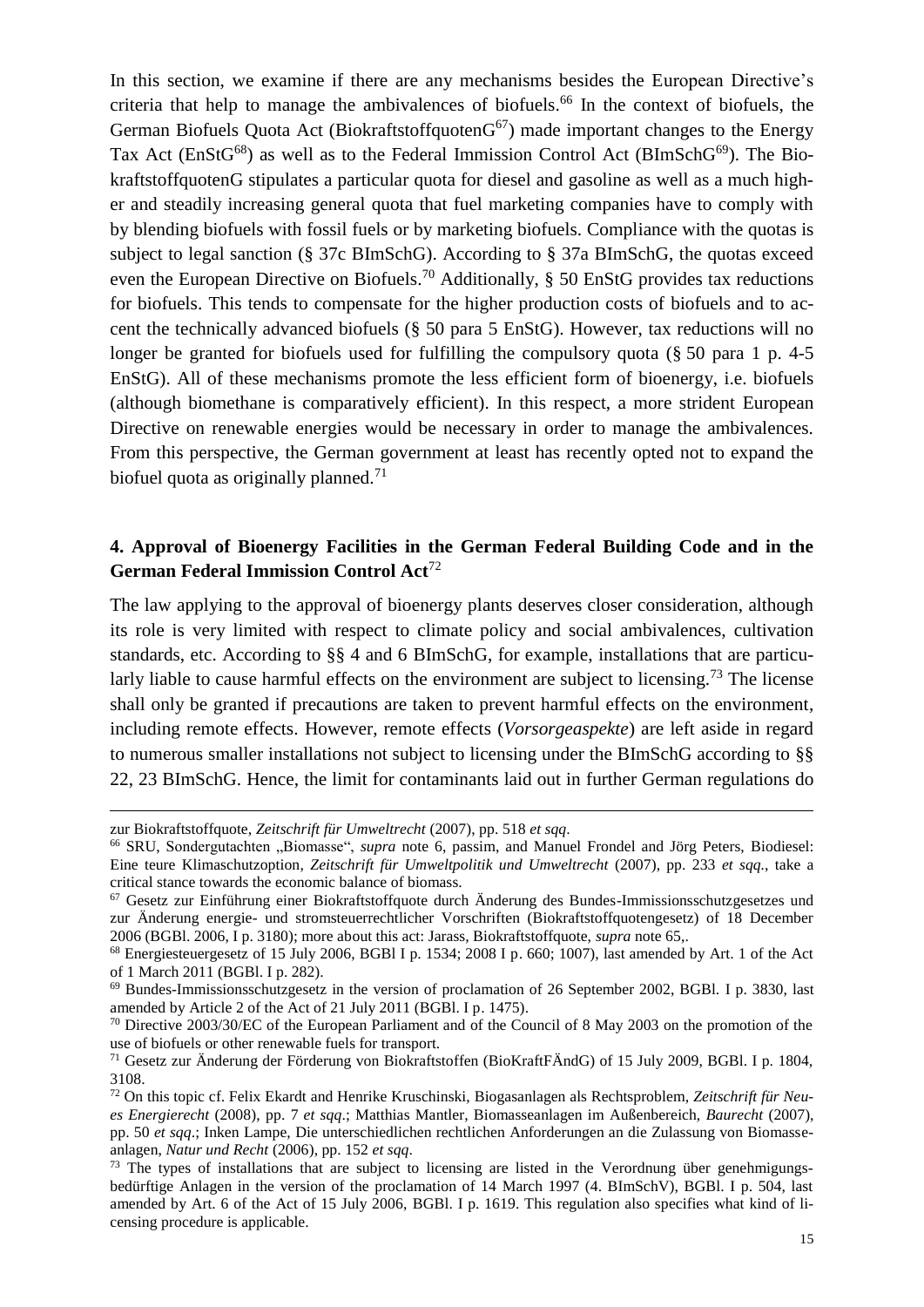In this section, we examine if there are any mechanisms besides the European Directive's criteria that help to manage the ambivalences of biofuels.<sup>66</sup> In the context of biofuels, the German Biofuels Quota Act (Biokraftstoffquoten $G^{67}$ ) made important changes to the Energy Tax Act ( $EnStG^{68}$ ) as well as to the Federal Immission Control Act ( $BImSchG^{69}$ ). The BiokraftstoffquotenG stipulates a particular quota for diesel and gasoline as well as a much higher and steadily increasing general quota that fuel marketing companies have to comply with by blending biofuels with fossil fuels or by marketing biofuels. Compliance with the quotas is subject to legal sanction (§ 37c BImSchG). According to § 37a BImSchG, the quotas exceed even the European Directive on Biofuels.<sup>70</sup> Additionally,  $\S$  50 EnStG provides tax reductions for biofuels. This tends to compensate for the higher production costs of biofuels and to accent the technically advanced biofuels (§ 50 para 5 EnStG). However, tax reductions will no longer be granted for biofuels used for fulfilling the compulsory quota (§ 50 para 1 p. 4-5 EnStG). All of these mechanisms promote the less efficient form of bioenergy, i.e. biofuels (although biomethane is comparatively efficient). In this respect, a more strident European Directive on renewable energies would be necessary in order to manage the ambivalences. From this perspective, the German government at least has recently opted not to expand the biofuel quota as originally planned.<sup>71</sup>

# **4. Approval of Bioenergy Facilities in the German Federal Building Code and in the German Federal Immission Control Act**<sup>72</sup>

The law applying to the approval of bioenergy plants deserves closer consideration, although its role is very limited with respect to climate policy and social ambivalences, cultivation standards, etc. According to §§ 4 and 6 BImSchG, for example, installations that are particularly liable to cause harmful effects on the environment are subject to licensing.<sup>73</sup> The license shall only be granted if precautions are taken to prevent harmful effects on the environment, including remote effects. However, remote effects (*Vorsorgeaspekte*) are left aside in regard to numerous smaller installations not subject to licensing under the BImSchG according to §§ 22, 23 BImSchG. Hence, the limit for contaminants laid out in further German regulations do

zur Biokraftstoffquote, *Zeitschrift für Umweltrecht* (2007), pp. 518 *et sqq*.

<sup>&</sup>lt;sup>66</sup> SRU, Sondergutachten "Biomasse", *supra* note 6, passim, and Manuel Frondel and Jörg Peters, Biodiesel: Eine teure Klimaschutzoption, *Zeitschrift für Umweltpolitik und Umweltrecht* (2007), pp. 233 *et sqq.*, take a critical stance towards the economic balance of biomass.

<sup>67</sup> Gesetz zur Einführung einer Biokraftstoffquote durch Änderung des Bundes-Immissionsschutzgesetzes und zur Änderung energie- und stromsteuerrechtlicher Vorschriften (Biokraftstoffquotengesetz) of 18 December 2006 (BGBl. 2006, I p. 3180); more about this act: Jarass, Biokraftstoffquote, *supra* note 65,.

<sup>&</sup>lt;sup>68</sup> Energiesteuergesetz of 15 July 2006, BGBl I p. 1534; 2008 I p. 660; 1007), last amended by Art. 1 of the Act of 1 March 2011 (BGBl. I p. 282).

<sup>69</sup> Bundes-Immissionsschutzgesetz in the version of proclamation of 26 September 2002, BGBl. I p. 3830, last amended by Article 2 of the Act of 21 July 2011 (BGBl. I p. 1475).

<sup>70</sup> Directive 2003/30/EC of the European Parliament and of the Council of 8 May 2003 on the promotion of the use of biofuels or other renewable fuels for transport.

<sup>71</sup> Gesetz zur Änderung der Förderung von Biokraftstoffen (BioKraftFÄndG) of 15 July 2009, BGBl. I p. 1804, 3108.

<sup>72</sup> On this topic cf. Felix Ekardt and Henrike Kruschinski, Biogasanlagen als Rechtsproblem, *Zeitschrift für Neues Energierecht* (2008), pp. 7 *et sqq*.; Matthias Mantler, Biomasseanlagen im Außenbereich, *Baurecht* (2007), pp. 50 *et sqq*.; Inken Lampe, Die unterschiedlichen rechtlichen Anforderungen an die Zulassung von Biomasseanlagen, *Natur und Recht* (2006), pp. 152 *et sqq*.

 $73$  The types of installations that are subject to licensing are listed in the Verordnung über genehmigungsbedürftige Anlagen in the version of the proclamation of 14 March 1997 (4. BImSchV), BGBl. I p. 504, last amended by Art. 6 of the Act of 15 July 2006, BGBl. I p. 1619. This regulation also specifies what kind of licensing procedure is applicable.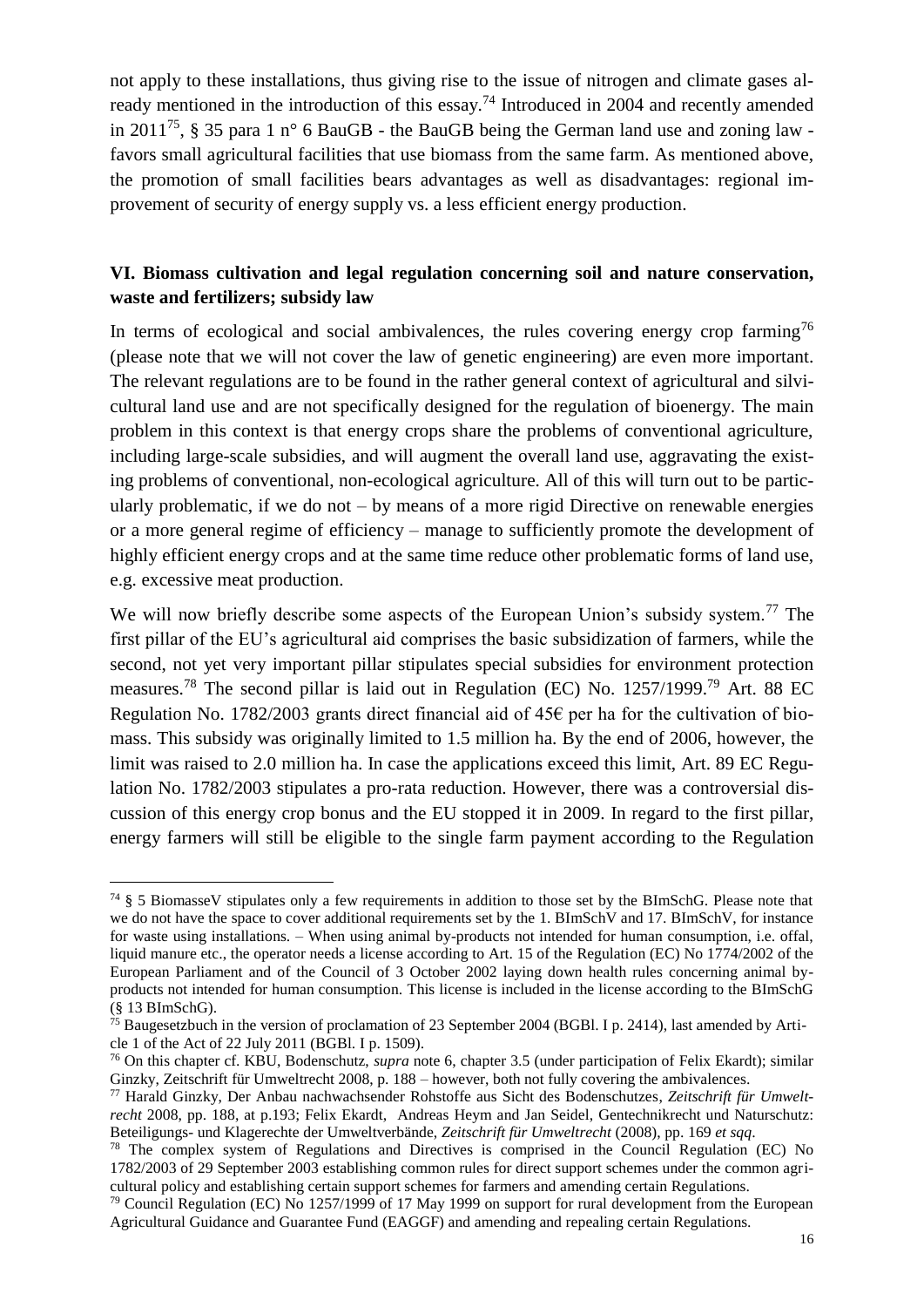not apply to these installations, thus giving rise to the issue of nitrogen and climate gases already mentioned in the introduction of this essay.<sup>74</sup> Introduced in 2004 and recently amended in 2011<sup>75</sup>, § 35 para 1 n° 6 BauGB - the BauGB being the German land use and zoning law favors small agricultural facilities that use biomass from the same farm. As mentioned above, the promotion of small facilities bears advantages as well as disadvantages: regional improvement of security of energy supply vs. a less efficient energy production.

# **VI. Biomass cultivation and legal regulation concerning soil and nature conservation, waste and fertilizers; subsidy law**

In terms of ecological and social ambivalences, the rules covering energy crop farming<sup>76</sup> (please note that we will not cover the law of genetic engineering) are even more important. The relevant regulations are to be found in the rather general context of agricultural and silvicultural land use and are not specifically designed for the regulation of bioenergy. The main problem in this context is that energy crops share the problems of conventional agriculture, including large-scale subsidies, and will augment the overall land use, aggravating the existing problems of conventional, non-ecological agriculture. All of this will turn out to be particularly problematic, if we do not – by means of a more rigid Directive on renewable energies or a more general regime of efficiency – manage to sufficiently promote the development of highly efficient energy crops and at the same time reduce other problematic forms of land use, e.g. excessive meat production.

We will now briefly describe some aspects of the European Union's subsidy system.<sup>77</sup> The first pillar of the EU's agricultural aid comprises the basic subsidization of farmers, while the second, not yet very important pillar stipulates special subsidies for environment protection measures.<sup>78</sup> The second pillar is laid out in Regulation (EC) No. 1257/1999.<sup>79</sup> Art. 88 EC Regulation No. 1782/2003 grants direct financial aid of  $45\epsilon$  per ha for the cultivation of biomass. This subsidy was originally limited to 1.5 million ha. By the end of 2006, however, the limit was raised to 2.0 million ha. In case the applications exceed this limit, Art. 89 EC Regulation No. 1782/2003 stipulates a pro-rata reduction. However, there was a controversial discussion of this energy crop bonus and the EU stopped it in 2009. In regard to the first pillar, energy farmers will still be eligible to the single farm payment according to the Regulation

<sup>74</sup> § 5 BiomasseV stipulates only a few requirements in addition to those set by the BImSchG. Please note that we do not have the space to cover additional requirements set by the 1. BImSchV and 17. BImSchV, for instance for waste using installations. – When using animal by-products not intended for human consumption, i.e. offal, liquid manure etc., the operator needs a license according to Art. 15 of the Regulation (EC) No 1774/2002 of the European Parliament and of the Council of 3 October 2002 laying down health rules concerning animal byproducts not intended for human consumption. This license is included in the license according to the BImSchG (§ 13 BImSchG).

<sup>75</sup> Baugesetzbuch in the version of proclamation of 23 September 2004 (BGBl. I p. 2414), last amended by Article 1 of the Act of 22 July 2011 (BGBl. I p. 1509).

<sup>76</sup> On this chapter cf. KBU, Bodenschutz, *supra* note 6, chapter 3.5 (under participation of Felix Ekardt); similar Ginzky, Zeitschrift für Umweltrecht 2008, p. 188 – however, both not fully covering the ambivalences.

<sup>77</sup> Harald Ginzky, Der Anbau nachwachsender Rohstoffe aus Sicht des Bodenschutzes, *Zeitschrift für Umweltrecht* 2008, pp. 188, at p.193; Felix Ekardt, Andreas Heym and Jan Seidel, Gentechnikrecht und Naturschutz: Beteiligungs- und Klagerechte der Umweltverbände, *Zeitschrift für Umweltrecht* (2008), pp. 169 *et sqq*.

<sup>78</sup> The complex system of Regulations and Directives is comprised in the Council Regulation (EC) No 1782/2003 of 29 September 2003 establishing common rules for direct support schemes under the common agricultural policy and establishing certain support schemes for farmers and amending certain Regulations.

<sup>&</sup>lt;sup>79</sup> Council Regulation (EC) No 1257/1999 of 17 May 1999 on support for rural development from the European Agricultural Guidance and Guarantee Fund (EAGGF) and amending and repealing certain Regulations.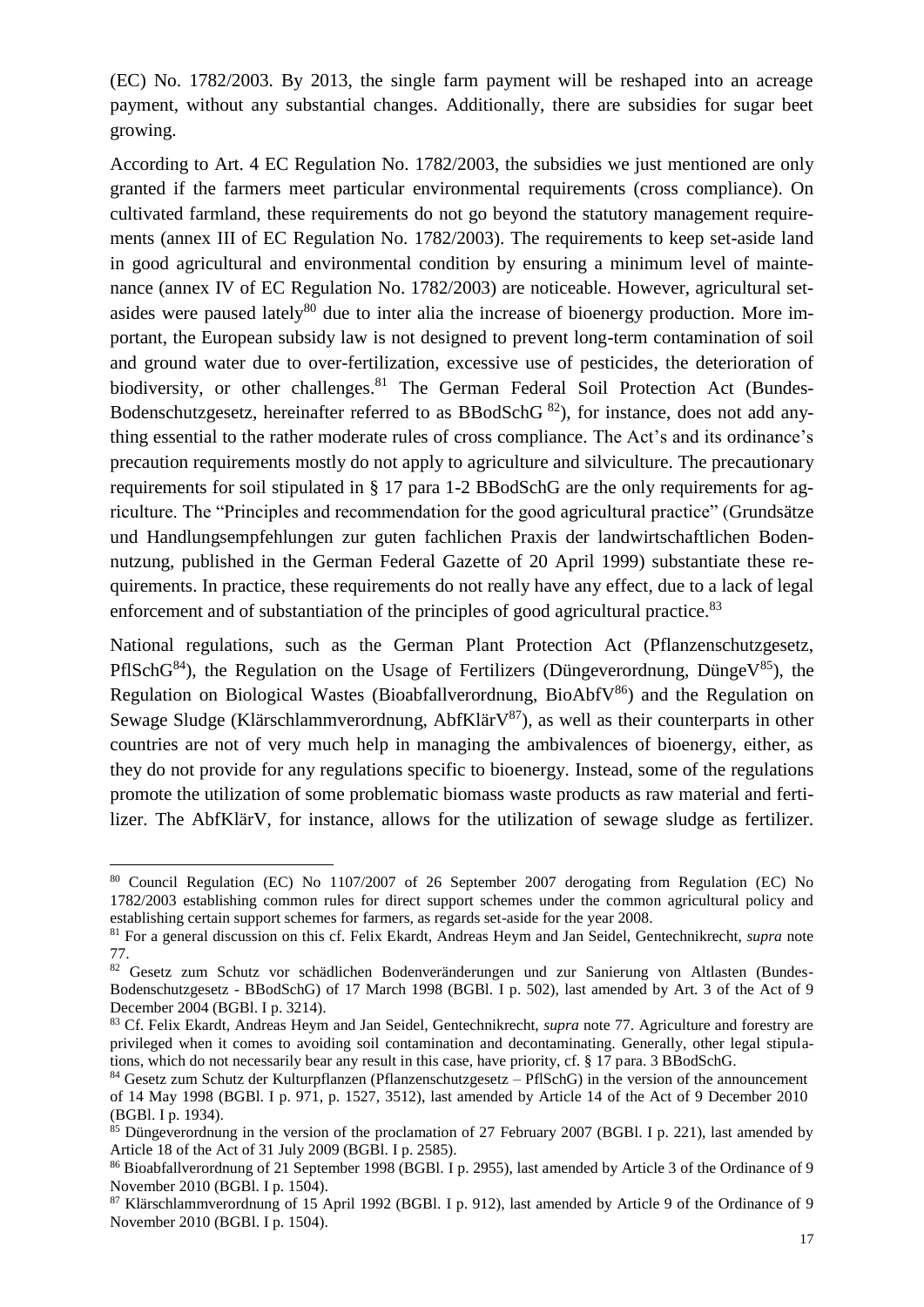(EC) No. 1782/2003. By 2013, the single farm payment will be reshaped into an acreage payment, without any substantial changes. Additionally, there are subsidies for sugar beet growing.

According to Art. 4 EC Regulation No. 1782/2003, the subsidies we just mentioned are only granted if the farmers meet particular environmental requirements (cross compliance). On cultivated farmland, these requirements do not go beyond the statutory management requirements (annex III of EC Regulation No. 1782/2003). The requirements to keep set-aside land in good agricultural and environmental condition by ensuring a minimum level of maintenance (annex IV of EC Regulation No. 1782/2003) are noticeable. However, agricultural setasides were paused lately<sup>80</sup> due to inter alia the increase of bioenergy production. More important, the European subsidy law is not designed to prevent long-term contamination of soil and ground water due to over-fertilization, excessive use of pesticides, the deterioration of biodiversity, or other challenges.<sup>81</sup> The German Federal Soil Protection Act (Bundes-Bodenschutzgesetz, hereinafter referred to as BBodSchG<sup>82</sup>), for instance, does not add anything essential to the rather moderate rules of cross compliance. The Act's and its ordinance's precaution requirements mostly do not apply to agriculture and silviculture. The precautionary requirements for soil stipulated in § 17 para 1-2 BBodSchG are the only requirements for agriculture. The "Principles and recommendation for the good agricultural practice" (Grundsätze und Handlungsempfehlungen zur guten fachlichen Praxis der landwirtschaftlichen Bodennutzung, published in the German Federal Gazette of 20 April 1999) substantiate these requirements. In practice, these requirements do not really have any effect, due to a lack of legal enforcement and of substantiation of the principles of good agricultural practice.<sup>83</sup>

National regulations, such as the German Plant Protection Act (Pflanzenschutzgesetz, PflSch $G^{84}$ ), the Regulation on the Usage of Fertilizers (Düngeverordnung, Dünge $V^{85}$ ), the Regulation on Biological Wastes (Bioabfallverordnung, BioAbf $V^{86}$ ) and the Regulation on Sewage Sludge (Klärschlammverordnung, Abf $K$ lär $V^{87}$ ), as well as their counterparts in other countries are not of very much help in managing the ambivalences of bioenergy, either, as they do not provide for any regulations specific to bioenergy. Instead, some of the regulations promote the utilization of some problematic biomass waste products as raw material and fertilizer. The AbfKlärV, for instance, allows for the utilization of sewage sludge as fertilizer.

<sup>80</sup> Council Regulation (EC) No 1107/2007 of 26 September 2007 derogating from Regulation (EC) No 1782/2003 establishing common rules for direct support schemes under the common agricultural policy and establishing certain support schemes for farmers, as regards set-aside for the year 2008.

<sup>81</sup> For a general discussion on this cf. Felix Ekardt, Andreas Heym and Jan Seidel, Gentechnikrecht, *supra* note 77.

<sup>&</sup>lt;sup>82</sup> Gesetz zum Schutz vor schädlichen Bodenveränderungen und zur Sanierung von Altlasten (Bundes-Bodenschutzgesetz - BBodSchG) of 17 March 1998 (BGBl. I p. 502), last amended by Art. 3 of the Act of 9 December 2004 (BGBl. I p. 3214).

<sup>83</sup> Cf. Felix Ekardt, Andreas Heym and Jan Seidel, Gentechnikrecht, *supra* note 77. Agriculture and forestry are privileged when it comes to avoiding soil contamination and decontaminating. Generally, other legal stipulations, which do not necessarily bear any result in this case, have priority, cf. § 17 para. 3 BBodSchG.

<sup>&</sup>lt;sup>84</sup> Gesetz zum Schutz der Kulturpflanzen (Pflanzenschutzgesetz – PflSchG) in the version of the announcement of 14 May 1998 (BGBl. I p. 971, p. 1527, 3512), last amended by Article 14 of the Act of 9 December 2010 (BGBl. I p. 1934).

 $85$  Düngeverordnung in the version of the proclamation of 27 February 2007 (BGBl. I p. 221), last amended by Article 18 of the Act of 31 July 2009 (BGBl. I p. 2585).

<sup>86</sup> Bioabfallverordnung of 21 September 1998 (BGBl. I p. 2955), last amended by Article 3 of the Ordinance of 9 November 2010 (BGBl. I p. 1504).

<sup>87</sup> Klärschlammverordnung of 15 April 1992 (BGBl. I p. 912), last amended by Article 9 of the Ordinance of 9 November 2010 (BGBl. I p. 1504).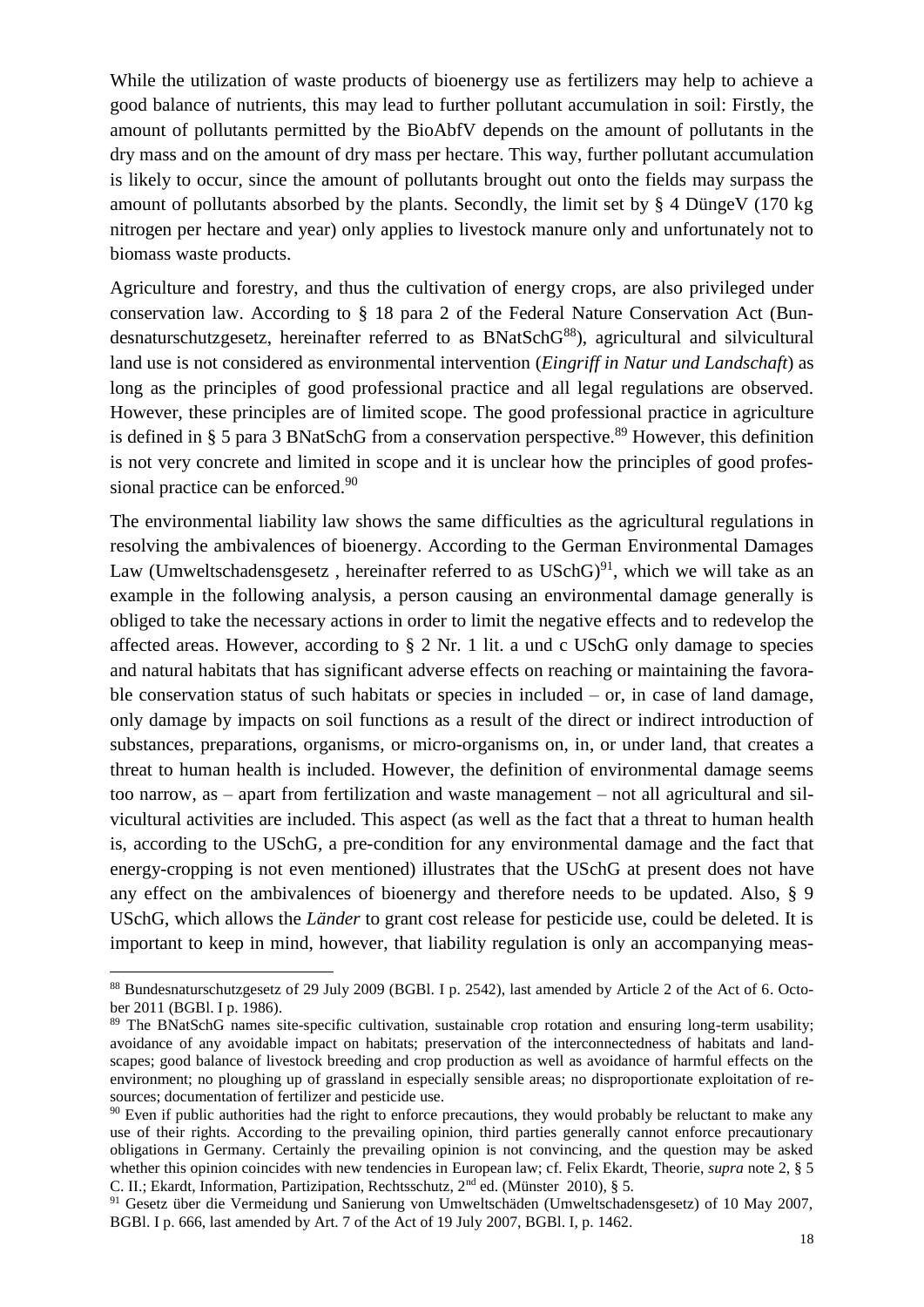While the utilization of waste products of bioenergy use as fertilizers may help to achieve a good balance of nutrients, this may lead to further pollutant accumulation in soil: Firstly, the amount of pollutants permitted by the BioAbfV depends on the amount of pollutants in the dry mass and on the amount of dry mass per hectare. This way, further pollutant accumulation is likely to occur, since the amount of pollutants brought out onto the fields may surpass the amount of pollutants absorbed by the plants. Secondly, the limit set by § 4 DüngeV (170 kg nitrogen per hectare and year) only applies to livestock manure only and unfortunately not to biomass waste products.

Agriculture and forestry, and thus the cultivation of energy crops, are also privileged under conservation law. According to § 18 para 2 of the Federal Nature Conservation Act (Bundesnaturschutzgesetz, hereinafter referred to as BNatSchG<sup>88</sup>), agricultural and silvicultural land use is not considered as environmental intervention (*Eingriff in Natur und Landschaft*) as long as the principles of good professional practice and all legal regulations are observed. However, these principles are of limited scope. The good professional practice in agriculture is defined in § 5 para 3 BNatSchG from a conservation perspective.<sup>89</sup> However, this definition is not very concrete and limited in scope and it is unclear how the principles of good professional practice can be enforced.<sup>90</sup>

The environmental liability law shows the same difficulties as the agricultural regulations in resolving the ambivalences of bioenergy. According to the German Environmental Damages Law (Umweltschadensgesetz, hereinafter referred to as  $USchG$ <sup>91</sup>, which we will take as an example in the following analysis, a person causing an environmental damage generally is obliged to take the necessary actions in order to limit the negative effects and to redevelop the affected areas. However, according to § 2 Nr. 1 lit. a und c USchG only damage to species and natural habitats that has significant adverse effects on reaching or maintaining the favorable conservation status of such habitats or species in included – or, in case of land damage, only damage by impacts on soil functions as a result of the direct or indirect introduction of substances, preparations, organisms, or micro-organisms on, in, or under land, that creates a threat to human health is included. However, the definition of environmental damage seems too narrow, as – apart from fertilization and waste management – not all agricultural and silvicultural activities are included. This aspect (as well as the fact that a threat to human health is, according to the USchG, a pre-condition for any environmental damage and the fact that energy-cropping is not even mentioned) illustrates that the USchG at present does not have any effect on the ambivalences of bioenergy and therefore needs to be updated. Also, § 9 USchG, which allows the *Länder* to grant cost release for pesticide use, could be deleted. It is important to keep in mind, however, that liability regulation is only an accompanying meas-

<sup>88</sup> Bundesnaturschutzgesetz of 29 July 2009 (BGBl. I p. 2542), last amended by Article 2 of the Act of 6. October 2011 (BGBl. I p. 1986).

<sup>89</sup> The BNatSchG names site-specific cultivation, sustainable crop rotation and ensuring long-term usability; avoidance of any avoidable impact on habitats; preservation of the interconnectedness of habitats and landscapes; good balance of livestock breeding and crop production as well as avoidance of harmful effects on the environment; no ploughing up of grassland in especially sensible areas; no disproportionate exploitation of resources; documentation of fertilizer and pesticide use.

<sup>&</sup>lt;sup>90</sup> Even if public authorities had the right to enforce precautions, they would probably be reluctant to make any use of their rights. According to the prevailing opinion, third parties generally cannot enforce precautionary obligations in Germany. Certainly the prevailing opinion is not convincing, and the question may be asked whether this opinion coincides with new tendencies in European law; cf. Felix Ekardt, Theorie, *supra* note 2, § 5 C. II.; Ekardt, Information, Partizipation, Rechtsschutz, 2<sup>nd</sup> ed. (Münster 2010), § 5.

<sup>&</sup>lt;sup>91</sup> Gesetz über die Vermeidung und Sanierung von Umweltschäden (Umweltschadensgesetz) of 10 May 2007, BGBl. I p. 666, last amended by Art. 7 of the Act of 19 July 2007, BGBl. I, p. 1462.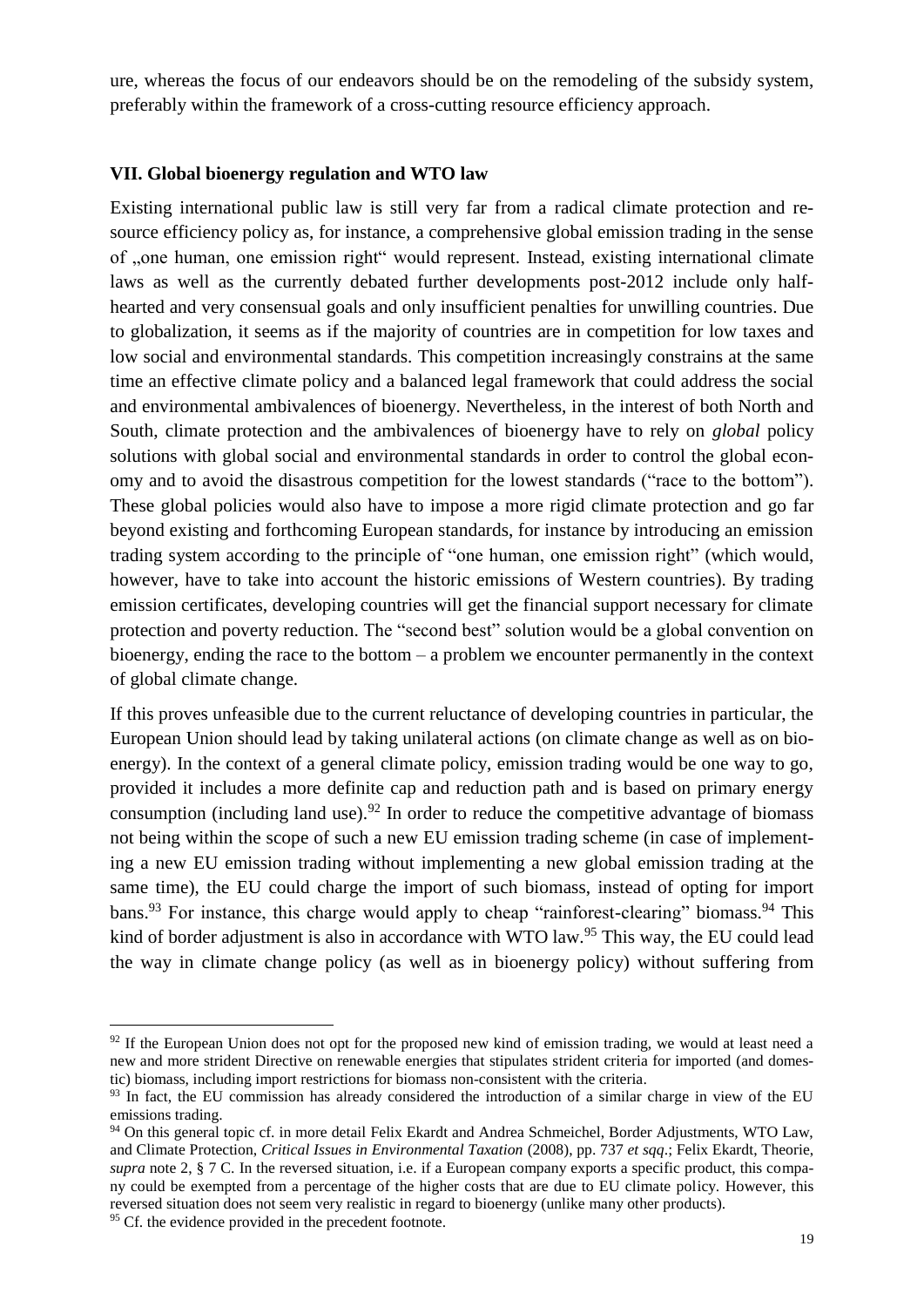ure, whereas the focus of our endeavors should be on the remodeling of the subsidy system, preferably within the framework of a cross-cutting resource efficiency approach.

## **VII. Global bioenergy regulation and WTO law**

Existing international public law is still very far from a radical climate protection and resource efficiency policy as, for instance, a comprehensive global emission trading in the sense of "one human, one emission right" would represent. Instead, existing international climate laws as well as the currently debated further developments post-2012 include only halfhearted and very consensual goals and only insufficient penalties for unwilling countries. Due to globalization, it seems as if the majority of countries are in competition for low taxes and low social and environmental standards. This competition increasingly constrains at the same time an effective climate policy and a balanced legal framework that could address the social and environmental ambivalences of bioenergy. Nevertheless, in the interest of both North and South, climate protection and the ambivalences of bioenergy have to rely on *global* policy solutions with global social and environmental standards in order to control the global economy and to avoid the disastrous competition for the lowest standards ("race to the bottom"). These global policies would also have to impose a more rigid climate protection and go far beyond existing and forthcoming European standards, for instance by introducing an emission trading system according to the principle of "one human, one emission right" (which would, however, have to take into account the historic emissions of Western countries). By trading emission certificates, developing countries will get the financial support necessary for climate protection and poverty reduction. The "second best" solution would be a global convention on bioenergy, ending the race to the bottom – a problem we encounter permanently in the context of global climate change.

If this proves unfeasible due to the current reluctance of developing countries in particular, the European Union should lead by taking unilateral actions (on climate change as well as on bioenergy). In the context of a general climate policy, emission trading would be one way to go, provided it includes a more definite cap and reduction path and is based on primary energy consumption (including land use).<sup>92</sup> In order to reduce the competitive advantage of biomass not being within the scope of such a new EU emission trading scheme (in case of implementing a new EU emission trading without implementing a new global emission trading at the same time), the EU could charge the import of such biomass, instead of opting for import bans.<sup>93</sup> For instance, this charge would apply to cheap "rainforest-clearing" biomass.<sup>94</sup> This kind of border adjustment is also in accordance with WTO law.<sup>95</sup> This way, the EU could lead the way in climate change policy (as well as in bioenergy policy) without suffering from

<sup>&</sup>lt;sup>92</sup> If the European Union does not opt for the proposed new kind of emission trading, we would at least need a new and more strident Directive on renewable energies that stipulates strident criteria for imported (and domestic) biomass, including import restrictions for biomass non-consistent with the criteria.

<sup>&</sup>lt;sup>93</sup> In fact, the EU commission has already considered the introduction of a similar charge in view of the EU emissions trading.

<sup>94</sup> On this general topic cf. in more detail Felix Ekardt and Andrea Schmeichel, Border Adjustments, WTO Law, and Climate Protection, *Critical Issues in Environmental Taxation* (2008), pp. 737 *et sqq*.; Felix Ekardt, Theorie, *supra* note 2, § 7 C. In the reversed situation, i.e. if a European company exports a specific product, this company could be exempted from a percentage of the higher costs that are due to EU climate policy. However, this reversed situation does not seem very realistic in regard to bioenergy (unlike many other products).

<sup>&</sup>lt;sup>95</sup> Cf. the evidence provided in the precedent footnote.